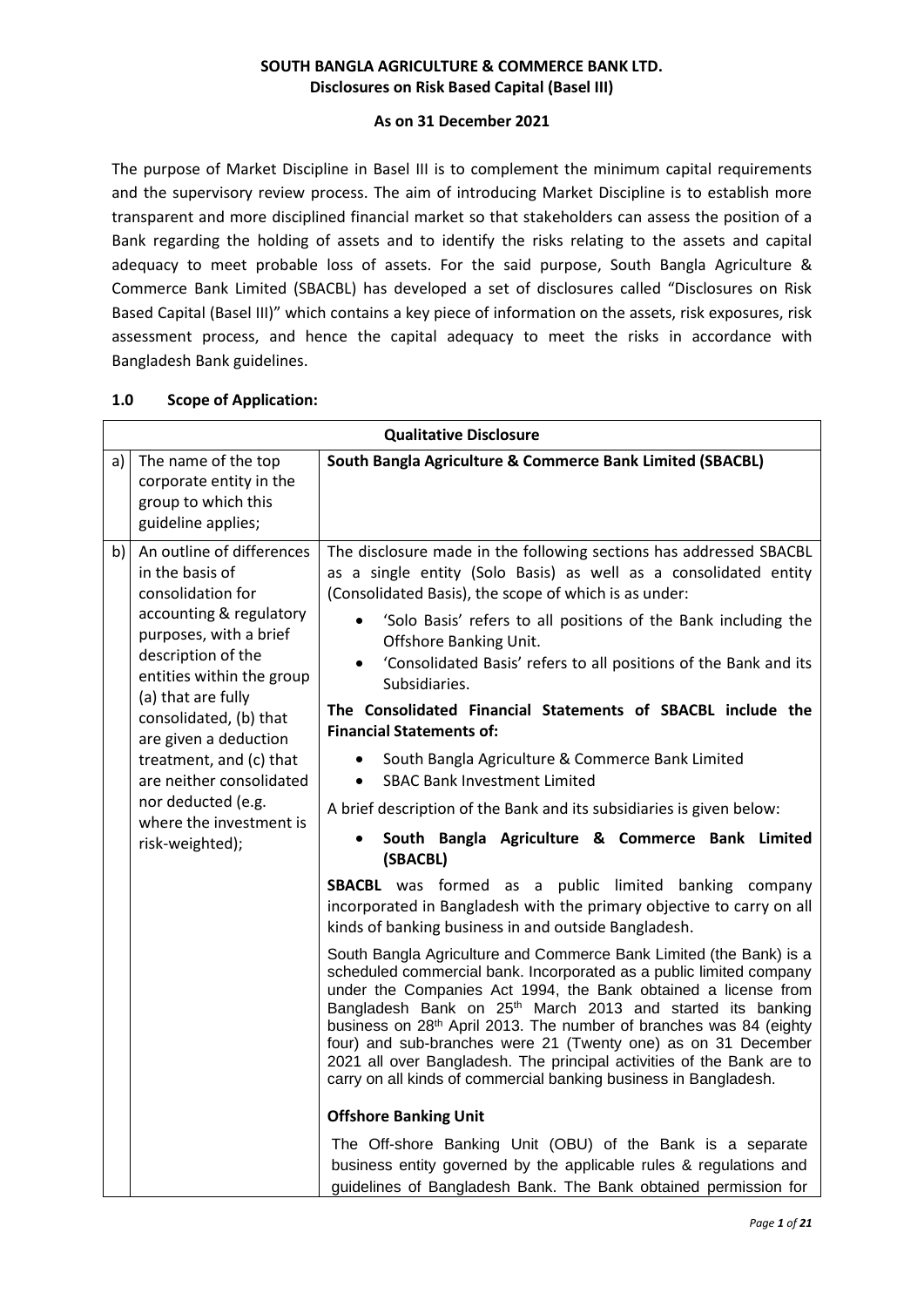### **SOUTH BANGLA AGRICULTURE & COMMERCE BANK LTD. Disclosures on Risk Based Capital (Basel III)**

### **As on 31 December 2021**

The purpose of Market Discipline in Basel III is to complement the minimum capital requirements and the supervisory review process. The aim of introducing Market Discipline is to establish more transparent and more disciplined financial market so that stakeholders can assess the position of a Bank regarding the holding of assets and to identify the risks relating to the assets and capital adequacy to meet probable loss of assets. For the said purpose, South Bangla Agriculture & Commerce Bank Limited (SBACBL) has developed a set of disclosures called "Disclosures on Risk Based Capital (Basel III)" which contains a key piece of information on the assets, risk exposures, risk assessment process, and hence the capital adequacy to meet the risks in accordance with Bangladesh Bank guidelines.

| <b>Qualitative Disclosure</b> |                                                                                                                                                                                                                                                                                                                                                                               |                                                                                                                                                                                                                                                                                                                                                                                                                                                                                                                                                                                                                                                                                                                                                                                                                                                                                                                                                                                                                                                                                                                                                                                                                                                                                                                                                                                                                                                                                                                                                                                                                                                                                                                                                         |  |  |
|-------------------------------|-------------------------------------------------------------------------------------------------------------------------------------------------------------------------------------------------------------------------------------------------------------------------------------------------------------------------------------------------------------------------------|---------------------------------------------------------------------------------------------------------------------------------------------------------------------------------------------------------------------------------------------------------------------------------------------------------------------------------------------------------------------------------------------------------------------------------------------------------------------------------------------------------------------------------------------------------------------------------------------------------------------------------------------------------------------------------------------------------------------------------------------------------------------------------------------------------------------------------------------------------------------------------------------------------------------------------------------------------------------------------------------------------------------------------------------------------------------------------------------------------------------------------------------------------------------------------------------------------------------------------------------------------------------------------------------------------------------------------------------------------------------------------------------------------------------------------------------------------------------------------------------------------------------------------------------------------------------------------------------------------------------------------------------------------------------------------------------------------------------------------------------------------|--|--|
| a)                            | The name of the top<br>corporate entity in the<br>group to which this<br>guideline applies;                                                                                                                                                                                                                                                                                   | South Bangla Agriculture & Commerce Bank Limited (SBACBL)                                                                                                                                                                                                                                                                                                                                                                                                                                                                                                                                                                                                                                                                                                                                                                                                                                                                                                                                                                                                                                                                                                                                                                                                                                                                                                                                                                                                                                                                                                                                                                                                                                                                                               |  |  |
| b)                            | An outline of differences<br>in the basis of<br>consolidation for<br>accounting & regulatory<br>purposes, with a brief<br>description of the<br>entities within the group<br>(a) that are fully<br>consolidated, (b) that<br>are given a deduction<br>treatment, and (c) that<br>are neither consolidated<br>nor deducted (e.g.<br>where the investment is<br>risk-weighted); | The disclosure made in the following sections has addressed SBACBL<br>as a single entity (Solo Basis) as well as a consolidated entity<br>(Consolidated Basis), the scope of which is as under:<br>'Solo Basis' refers to all positions of the Bank including the<br>Offshore Banking Unit.<br>'Consolidated Basis' refers to all positions of the Bank and its<br>Subsidiaries.<br>The Consolidated Financial Statements of SBACBL include the<br><b>Financial Statements of:</b><br>South Bangla Agriculture & Commerce Bank Limited<br><b>SBAC Bank Investment Limited</b><br>$\bullet$<br>A brief description of the Bank and its subsidiaries is given below:<br>South Bangla Agriculture & Commerce Bank Limited<br>(SBACBL)<br><b>SBACBL</b> was formed as a public limited banking company<br>incorporated in Bangladesh with the primary objective to carry on all<br>kinds of banking business in and outside Bangladesh.<br>South Bangla Agriculture and Commerce Bank Limited (the Bank) is a<br>scheduled commercial bank. Incorporated as a public limited company<br>under the Companies Act 1994, the Bank obtained a license from<br>Bangladesh Bank on 25 <sup>th</sup> March 2013 and started its banking<br>business on 28th April 2013. The number of branches was 84 (eighty<br>four) and sub-branches were 21 (Twenty one) as on 31 December<br>2021 all over Bangladesh. The principal activities of the Bank are to<br>carry on all kinds of commercial banking business in Bangladesh.<br><b>Offshore Banking Unit</b><br>The Off-shore Banking Unit (OBU) of the Bank is a separate<br>business entity governed by the applicable rules & regulations and<br>guidelines of Bangladesh Bank. The Bank obtained permission for |  |  |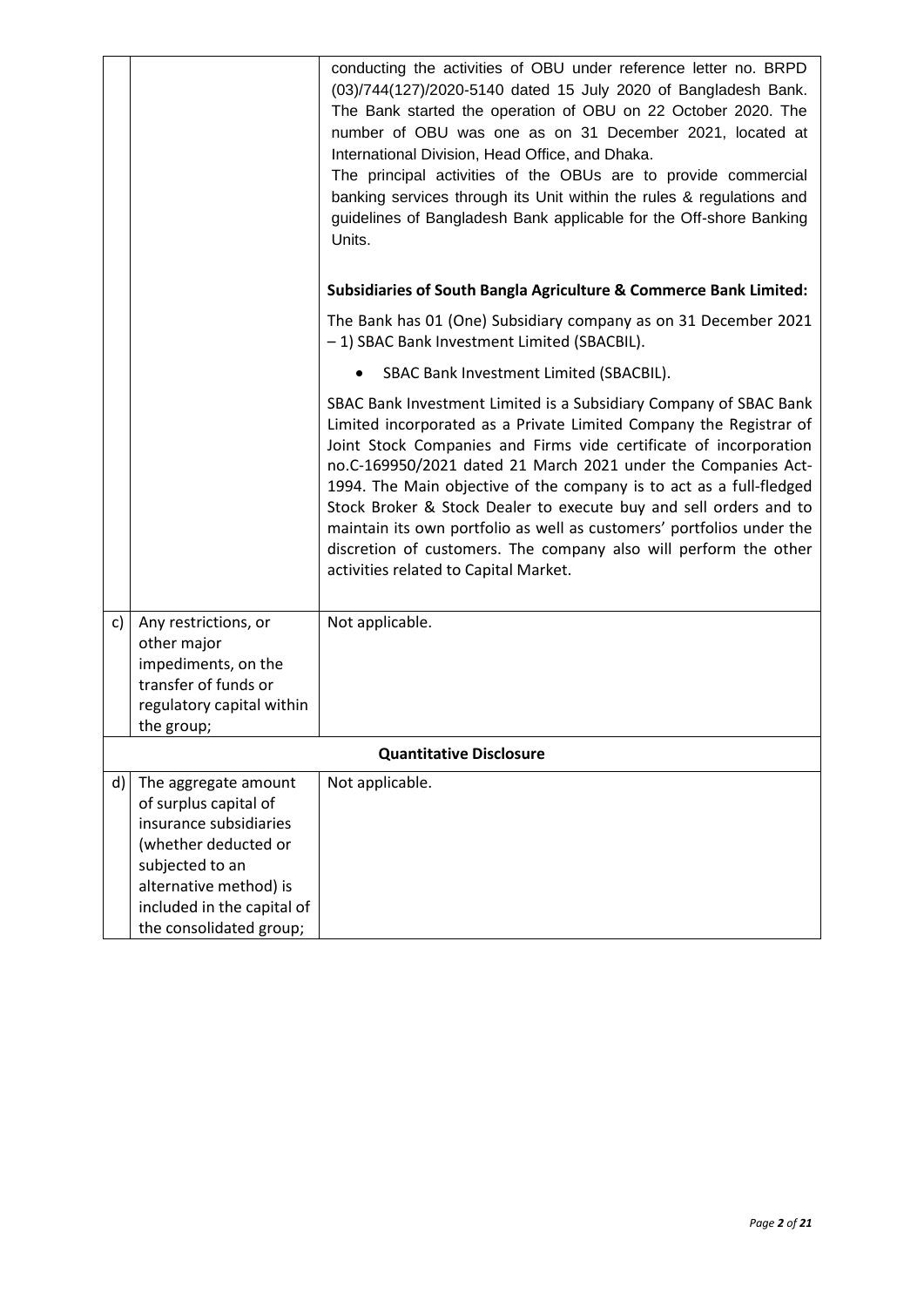|    |                                                                                                                                                                                                       | conducting the activities of OBU under reference letter no. BRPD<br>(03)/744(127)/2020-5140 dated 15 July 2020 of Bangladesh Bank.<br>The Bank started the operation of OBU on 22 October 2020. The<br>number of OBU was one as on 31 December 2021, located at<br>International Division, Head Office, and Dhaka.<br>The principal activities of the OBUs are to provide commercial<br>banking services through its Unit within the rules & regulations and<br>guidelines of Bangladesh Bank applicable for the Off-shore Banking<br>Units.                                                                    |
|----|-------------------------------------------------------------------------------------------------------------------------------------------------------------------------------------------------------|-----------------------------------------------------------------------------------------------------------------------------------------------------------------------------------------------------------------------------------------------------------------------------------------------------------------------------------------------------------------------------------------------------------------------------------------------------------------------------------------------------------------------------------------------------------------------------------------------------------------|
|    |                                                                                                                                                                                                       | Subsidiaries of South Bangla Agriculture & Commerce Bank Limited:                                                                                                                                                                                                                                                                                                                                                                                                                                                                                                                                               |
|    |                                                                                                                                                                                                       | The Bank has 01 (One) Subsidiary company as on 31 December 2021<br>-1) SBAC Bank Investment Limited (SBACBIL).                                                                                                                                                                                                                                                                                                                                                                                                                                                                                                  |
|    |                                                                                                                                                                                                       | SBAC Bank Investment Limited (SBACBIL).                                                                                                                                                                                                                                                                                                                                                                                                                                                                                                                                                                         |
|    |                                                                                                                                                                                                       | SBAC Bank Investment Limited is a Subsidiary Company of SBAC Bank<br>Limited incorporated as a Private Limited Company the Registrar of<br>Joint Stock Companies and Firms vide certificate of incorporation<br>no.C-169950/2021 dated 21 March 2021 under the Companies Act-<br>1994. The Main objective of the company is to act as a full-fledged<br>Stock Broker & Stock Dealer to execute buy and sell orders and to<br>maintain its own portfolio as well as customers' portfolios under the<br>discretion of customers. The company also will perform the other<br>activities related to Capital Market. |
| c) | Any restrictions, or<br>other major<br>impediments, on the                                                                                                                                            | Not applicable.                                                                                                                                                                                                                                                                                                                                                                                                                                                                                                                                                                                                 |
|    | transfer of funds or<br>regulatory capital within<br>the group;                                                                                                                                       |                                                                                                                                                                                                                                                                                                                                                                                                                                                                                                                                                                                                                 |
|    |                                                                                                                                                                                                       | <b>Quantitative Disclosure</b>                                                                                                                                                                                                                                                                                                                                                                                                                                                                                                                                                                                  |
| d) | The aggregate amount<br>of surplus capital of<br>insurance subsidiaries<br>(whether deducted or<br>subjected to an<br>alternative method) is<br>included in the capital of<br>the consolidated group; | Not applicable.                                                                                                                                                                                                                                                                                                                                                                                                                                                                                                                                                                                                 |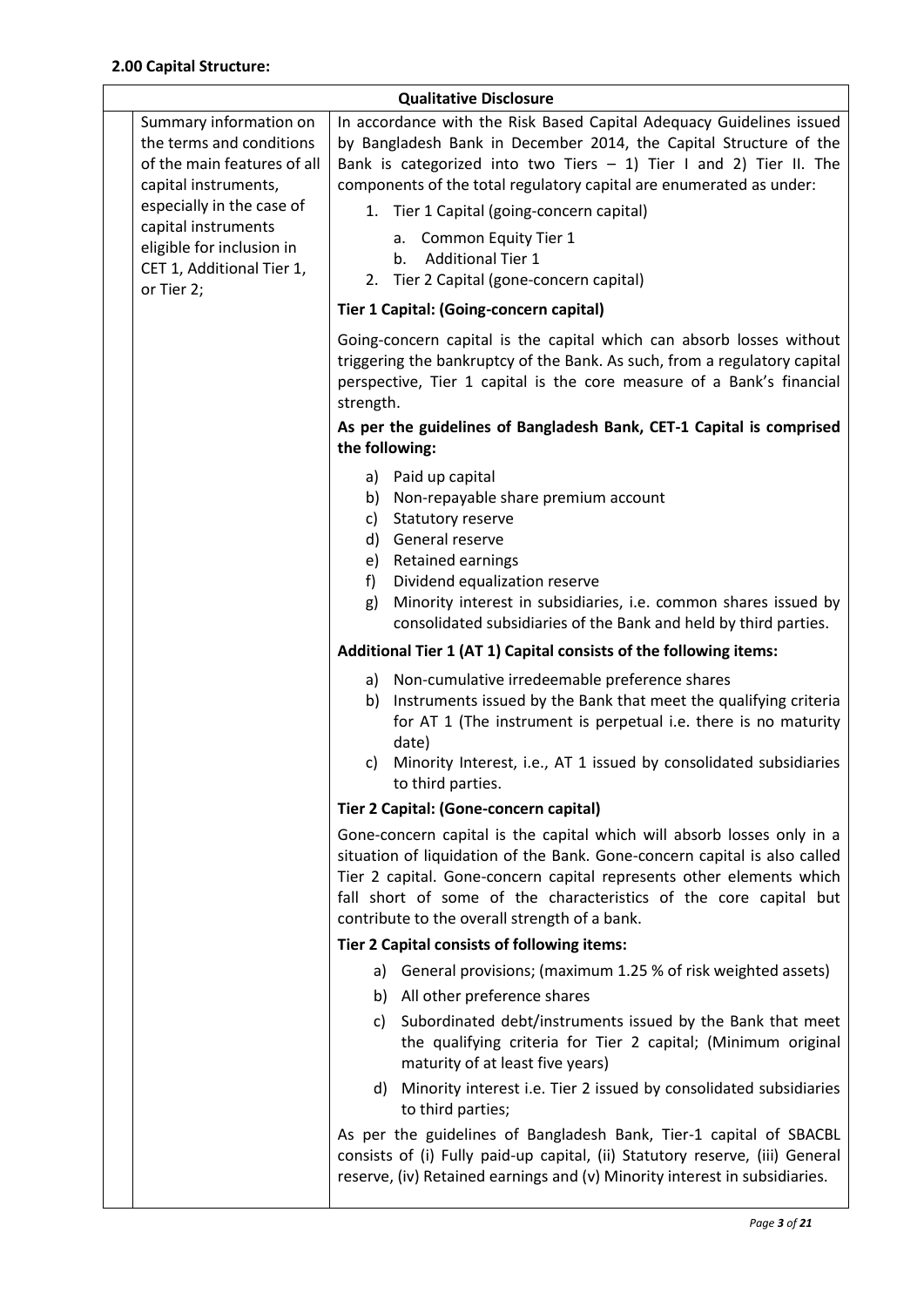| <b>Qualitative Disclosure</b> |                                                                                                                                                                                                                                       |                                                                                                                                                                                                                                                                                                                                                                                                                                                 |  |  |
|-------------------------------|---------------------------------------------------------------------------------------------------------------------------------------------------------------------------------------------------------------------------------------|-------------------------------------------------------------------------------------------------------------------------------------------------------------------------------------------------------------------------------------------------------------------------------------------------------------------------------------------------------------------------------------------------------------------------------------------------|--|--|
|                               | Summary information on<br>the terms and conditions<br>of the main features of all<br>capital instruments,<br>especially in the case of<br>capital instruments<br>eligible for inclusion in<br>CET 1, Additional Tier 1,<br>or Tier 2; | In accordance with the Risk Based Capital Adequacy Guidelines issued<br>by Bangladesh Bank in December 2014, the Capital Structure of the<br>Bank is categorized into two Tiers $- 1$ ) Tier I and 2) Tier II. The<br>components of the total regulatory capital are enumerated as under:<br>1. Tier 1 Capital (going-concern capital)<br>a. Common Equity Tier 1<br><b>Additional Tier 1</b><br>b.<br>2. Tier 2 Capital (gone-concern capital) |  |  |
|                               |                                                                                                                                                                                                                                       | Tier 1 Capital: (Going-concern capital)                                                                                                                                                                                                                                                                                                                                                                                                         |  |  |
|                               |                                                                                                                                                                                                                                       | Going-concern capital is the capital which can absorb losses without<br>triggering the bankruptcy of the Bank. As such, from a regulatory capital<br>perspective, Tier 1 capital is the core measure of a Bank's financial<br>strength.                                                                                                                                                                                                         |  |  |
|                               |                                                                                                                                                                                                                                       | As per the guidelines of Bangladesh Bank, CET-1 Capital is comprised<br>the following:                                                                                                                                                                                                                                                                                                                                                          |  |  |
|                               |                                                                                                                                                                                                                                       | a) Paid up capital<br>b) Non-repayable share premium account<br>Statutory reserve<br>c)<br>d) General reserve<br>e) Retained earnings<br>Dividend equalization reserve<br>f)<br>Minority interest in subsidiaries, i.e. common shares issued by<br>g)<br>consolidated subsidiaries of the Bank and held by third parties.                                                                                                                       |  |  |
|                               |                                                                                                                                                                                                                                       | Additional Tier 1 (AT 1) Capital consists of the following items:                                                                                                                                                                                                                                                                                                                                                                               |  |  |
|                               |                                                                                                                                                                                                                                       | a) Non-cumulative irredeemable preference shares<br>Instruments issued by the Bank that meet the qualifying criteria<br>b)<br>for AT 1 (The instrument is perpetual i.e. there is no maturity<br>date)<br>c) Minority Interest, i.e., AT 1 issued by consolidated subsidiaries                                                                                                                                                                  |  |  |
|                               |                                                                                                                                                                                                                                       | to third parties.<br>Tier 2 Capital: (Gone-concern capital)                                                                                                                                                                                                                                                                                                                                                                                     |  |  |
|                               |                                                                                                                                                                                                                                       | Gone-concern capital is the capital which will absorb losses only in a<br>situation of liquidation of the Bank. Gone-concern capital is also called<br>Tier 2 capital. Gone-concern capital represents other elements which<br>fall short of some of the characteristics of the core capital but<br>contribute to the overall strength of a bank.                                                                                               |  |  |
|                               |                                                                                                                                                                                                                                       | Tier 2 Capital consists of following items:                                                                                                                                                                                                                                                                                                                                                                                                     |  |  |
|                               |                                                                                                                                                                                                                                       | a) General provisions; (maximum 1.25 % of risk weighted assets)                                                                                                                                                                                                                                                                                                                                                                                 |  |  |
|                               |                                                                                                                                                                                                                                       | b) All other preference shares<br>c) Subordinated debt/instruments issued by the Bank that meet                                                                                                                                                                                                                                                                                                                                                 |  |  |
|                               |                                                                                                                                                                                                                                       | the qualifying criteria for Tier 2 capital; (Minimum original<br>maturity of at least five years)                                                                                                                                                                                                                                                                                                                                               |  |  |
|                               |                                                                                                                                                                                                                                       | d) Minority interest i.e. Tier 2 issued by consolidated subsidiaries<br>to third parties;                                                                                                                                                                                                                                                                                                                                                       |  |  |
|                               |                                                                                                                                                                                                                                       | As per the guidelines of Bangladesh Bank, Tier-1 capital of SBACBL<br>consists of (i) Fully paid-up capital, (ii) Statutory reserve, (iii) General<br>reserve, (iv) Retained earnings and (v) Minority interest in subsidiaries.                                                                                                                                                                                                                |  |  |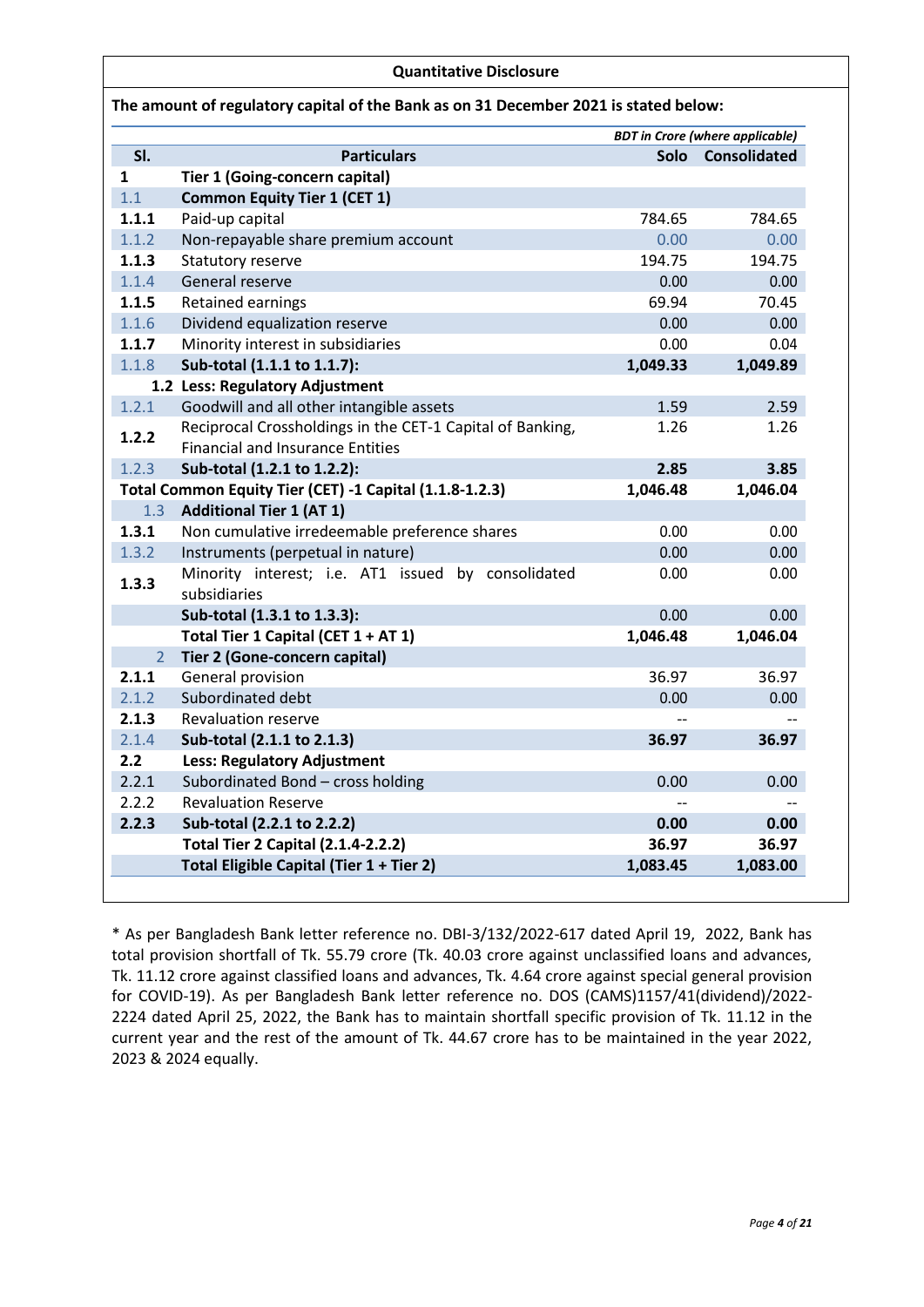#### **Quantitative Disclosure**

|                |                                                           | <b>BDT</b> in Crore (where applicable) |                     |
|----------------|-----------------------------------------------------------|----------------------------------------|---------------------|
| SI.            | <b>Particulars</b>                                        | <b>Solo</b>                            | <b>Consolidated</b> |
| 1              | <b>Tier 1 (Going-concern capital)</b>                     |                                        |                     |
| 1.1            | <b>Common Equity Tier 1 (CET 1)</b>                       |                                        |                     |
| 1.1.1          | Paid-up capital                                           | 784.65                                 | 784.65              |
| 1.1.2          | Non-repayable share premium account                       | 0.00                                   | 0.00                |
| 1.1.3          | Statutory reserve                                         | 194.75                                 | 194.75              |
| 1.1.4          | General reserve                                           | 0.00                                   | 0.00                |
| 1.1.5          | <b>Retained earnings</b>                                  | 69.94                                  | 70.45               |
| 1.1.6          | Dividend equalization reserve                             | 0.00                                   | 0.00                |
| 1.1.7          | Minority interest in subsidiaries                         | 0.00                                   | 0.04                |
| 1.1.8          | Sub-total (1.1.1 to 1.1.7):                               | 1,049.33                               | 1,049.89            |
|                | 1.2 Less: Regulatory Adjustment                           |                                        |                     |
| 1.2.1          | Goodwill and all other intangible assets                  | 1.59                                   | 2.59                |
| 1.2.2          | Reciprocal Crossholdings in the CET-1 Capital of Banking, | 1.26                                   | 1.26                |
|                | <b>Financial and Insurance Entities</b>                   |                                        |                     |
| 1.2.3          | Sub-total (1.2.1 to 1.2.2):                               | 2.85                                   | 3.85                |
|                | Total Common Equity Tier (CET) -1 Capital (1.1.8-1.2.3)   | 1,046.48                               | 1,046.04            |
| 1.3            | <b>Additional Tier 1 (AT 1)</b>                           |                                        |                     |
| 1.3.1          | Non cumulative irredeemable preference shares             | 0.00                                   | 0.00                |
| 1.3.2          | Instruments (perpetual in nature)                         | 0.00                                   | 0.00                |
| 1.3.3          | Minority interest; i.e. AT1 issued by consolidated        | 0.00                                   | 0.00                |
|                | subsidiaries                                              |                                        |                     |
|                | Sub-total (1.3.1 to 1.3.3):                               | 0.00                                   | 0.00                |
|                | Total Tier 1 Capital (CET 1 + AT 1)                       | 1,046.48                               | 1,046.04            |
| $\overline{2}$ | Tier 2 (Gone-concern capital)                             |                                        |                     |
| 2.1.1          | General provision                                         | 36.97                                  | 36.97               |
| 2.1.2          | Subordinated debt                                         | 0.00                                   | 0.00                |
| 2.1.3          | <b>Revaluation reserve</b>                                |                                        |                     |
| 2.1.4          | Sub-total (2.1.1 to 2.1.3)                                | 36.97                                  | 36.97               |
| 2.2            | <b>Less: Regulatory Adjustment</b>                        |                                        |                     |
| 2.2.1          | Subordinated Bond - cross holding                         | 0.00                                   | 0.00                |
| 2.2.2          | <b>Revaluation Reserve</b>                                |                                        |                     |
| 2.2.3          | Sub-total (2.2.1 to 2.2.2)                                | 0.00                                   | 0.00                |
|                | <b>Total Tier 2 Capital (2.1.4-2.2.2)</b>                 | 36.97                                  | 36.97               |
|                | Total Eligible Capital (Tier 1 + Tier 2)                  | 1,083.45                               | 1,083.00            |

\* As per Bangladesh Bank letter reference no. DBI-3/132/2022-617 dated April 19, 2022, Bank has total provision shortfall of Tk. 55.79 crore (Tk. 40.03 crore against unclassified loans and advances, Tk. 11.12 crore against classified loans and advances, Tk. 4.64 crore against special general provision for COVID-19). As per Bangladesh Bank letter reference no. DOS (CAMS)1157/41(dividend)/2022- 2224 dated April 25, 2022, the Bank has to maintain shortfall specific provision of Tk. 11.12 in the current year and the rest of the amount of Tk. 44.67 crore has to be maintained in the year 2022, 2023 & 2024 equally.

### **The amount of regulatory capital of the Bank as on 31 December 2021 is stated below:**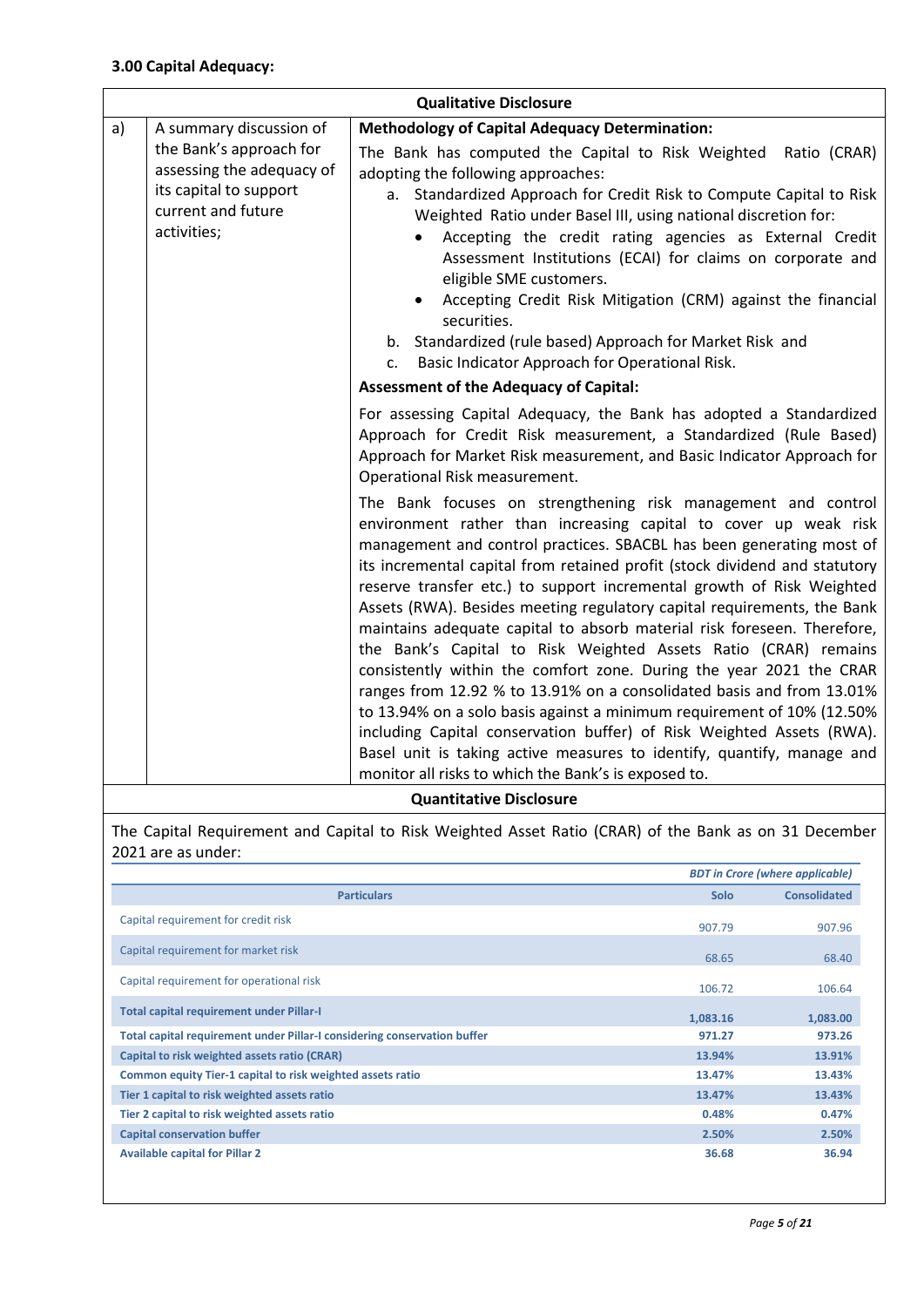| <b>Qualitative Disclosure</b> |                                                                                                                     |                                                                                                                                                                                                                                                                                                                                                                                                                                                                                                                                                                                                                                                                                                                                                                                                                                                                                                                                                                                                                                |  |  |
|-------------------------------|---------------------------------------------------------------------------------------------------------------------|--------------------------------------------------------------------------------------------------------------------------------------------------------------------------------------------------------------------------------------------------------------------------------------------------------------------------------------------------------------------------------------------------------------------------------------------------------------------------------------------------------------------------------------------------------------------------------------------------------------------------------------------------------------------------------------------------------------------------------------------------------------------------------------------------------------------------------------------------------------------------------------------------------------------------------------------------------------------------------------------------------------------------------|--|--|
| a)                            | A summary discussion of                                                                                             | <b>Methodology of Capital Adequacy Determination:</b>                                                                                                                                                                                                                                                                                                                                                                                                                                                                                                                                                                                                                                                                                                                                                                                                                                                                                                                                                                          |  |  |
|                               | the Bank's approach for<br>assessing the adequacy of<br>its capital to support<br>current and future<br>activities; | The Bank has computed the Capital to Risk Weighted Ratio (CRAR)<br>adopting the following approaches:<br>Standardized Approach for Credit Risk to Compute Capital to Risk<br>а.<br>Weighted Ratio under Basel III, using national discretion for:<br>Accepting the credit rating agencies as External Credit<br>Assessment Institutions (ECAI) for claims on corporate and<br>eligible SME customers.<br>Accepting Credit Risk Mitigation (CRM) against the financial<br>securities.<br>b. Standardized (rule based) Approach for Market Risk and<br>Basic Indicator Approach for Operational Risk.<br>c.                                                                                                                                                                                                                                                                                                                                                                                                                      |  |  |
|                               |                                                                                                                     | <b>Assessment of the Adequacy of Capital:</b>                                                                                                                                                                                                                                                                                                                                                                                                                                                                                                                                                                                                                                                                                                                                                                                                                                                                                                                                                                                  |  |  |
|                               |                                                                                                                     | For assessing Capital Adequacy, the Bank has adopted a Standardized<br>Approach for Credit Risk measurement, a Standardized (Rule Based)<br>Approach for Market Risk measurement, and Basic Indicator Approach for<br>Operational Risk measurement.                                                                                                                                                                                                                                                                                                                                                                                                                                                                                                                                                                                                                                                                                                                                                                            |  |  |
|                               |                                                                                                                     | The Bank focuses on strengthening risk management and control<br>environment rather than increasing capital to cover up weak risk<br>management and control practices. SBACBL has been generating most of<br>its incremental capital from retained profit (stock dividend and statutory<br>reserve transfer etc.) to support incremental growth of Risk Weighted<br>Assets (RWA). Besides meeting regulatory capital requirements, the Bank<br>maintains adequate capital to absorb material risk foreseen. Therefore,<br>the Bank's Capital to Risk Weighted Assets Ratio (CRAR) remains<br>consistently within the comfort zone. During the year 2021 the CRAR<br>ranges from 12.92 % to 13.91% on a consolidated basis and from 13.01%<br>to 13.94% on a solo basis against a minimum requirement of 10% (12.50%<br>including Capital conservation buffer) of Risk Weighted Assets (RWA).<br>Basel unit is taking active measures to identify, quantify, manage and<br>monitor all risks to which the Bank's is exposed to. |  |  |

### **Quantitative Disclosure**

The Capital Requirement and Capital to Risk Weighted Asset Ratio (CRAR) of the Bank as on 31 December 2021 are as under:

|                                                                          |          | <b>BDT</b> in Crore (where applicable) |
|--------------------------------------------------------------------------|----------|----------------------------------------|
| <b>Particulars</b>                                                       | Solo     | <b>Consolidated</b>                    |
| Capital requirement for credit risk                                      | 907.79   | 907.96                                 |
| Capital requirement for market risk                                      | 68.65    | 68.40                                  |
| Capital requirement for operational risk                                 | 106.72   | 106.64                                 |
| <b>Total capital requirement under Pillar-I</b>                          | 1,083.16 | 1,083.00                               |
| Total capital requirement under Pillar-I considering conservation buffer | 971.27   | 973.26                                 |
| Capital to risk weighted assets ratio (CRAR)                             | 13.94%   | 13.91%                                 |
| Common equity Tier-1 capital to risk weighted assets ratio               | 13.47%   | 13.43%                                 |
| Tier 1 capital to risk weighted assets ratio                             | 13.47%   | 13.43%                                 |
| Tier 2 capital to risk weighted assets ratio                             | 0.48%    | 0.47%                                  |
| <b>Capital conservation buffer</b>                                       | 2.50%    | 2.50%                                  |
| <b>Available capital for Pillar 2</b>                                    | 36.68    | 36.94                                  |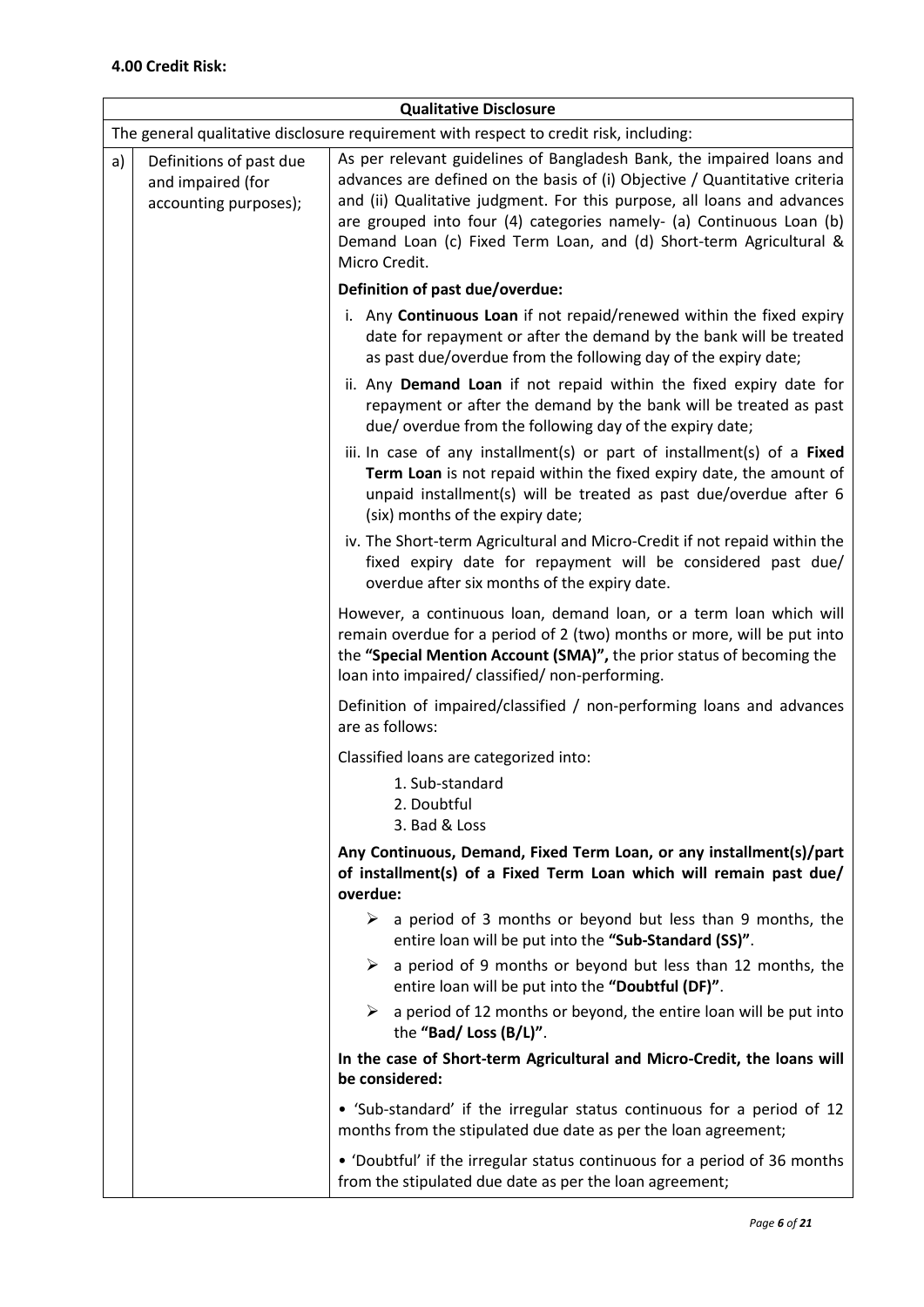| <b>Qualitative Disclosure</b>                                               |                                                                                        |                                                                                                                                                                                                                                                                                                                                                                                               |  |  |  |
|-----------------------------------------------------------------------------|----------------------------------------------------------------------------------------|-----------------------------------------------------------------------------------------------------------------------------------------------------------------------------------------------------------------------------------------------------------------------------------------------------------------------------------------------------------------------------------------------|--|--|--|
|                                                                             | The general qualitative disclosure requirement with respect to credit risk, including: |                                                                                                                                                                                                                                                                                                                                                                                               |  |  |  |
| a)<br>Definitions of past due<br>and impaired (for<br>accounting purposes); |                                                                                        | As per relevant guidelines of Bangladesh Bank, the impaired loans and<br>advances are defined on the basis of (i) Objective / Quantitative criteria<br>and (ii) Qualitative judgment. For this purpose, all loans and advances<br>are grouped into four (4) categories namely- (a) Continuous Loan (b)<br>Demand Loan (c) Fixed Term Loan, and (d) Short-term Agricultural &<br>Micro Credit. |  |  |  |
|                                                                             |                                                                                        | Definition of past due/overdue:                                                                                                                                                                                                                                                                                                                                                               |  |  |  |
|                                                                             |                                                                                        | i. Any Continuous Loan if not repaid/renewed within the fixed expiry<br>date for repayment or after the demand by the bank will be treated<br>as past due/overdue from the following day of the expiry date;                                                                                                                                                                                  |  |  |  |
|                                                                             |                                                                                        | ii. Any Demand Loan if not repaid within the fixed expiry date for<br>repayment or after the demand by the bank will be treated as past<br>due/overdue from the following day of the expiry date;                                                                                                                                                                                             |  |  |  |
|                                                                             |                                                                                        | iii. In case of any installment(s) or part of installment(s) of a Fixed<br>Term Loan is not repaid within the fixed expiry date, the amount of<br>unpaid installment(s) will be treated as past due/overdue after 6<br>(six) months of the expiry date;                                                                                                                                       |  |  |  |
|                                                                             |                                                                                        | iv. The Short-term Agricultural and Micro-Credit if not repaid within the<br>fixed expiry date for repayment will be considered past due/<br>overdue after six months of the expiry date.                                                                                                                                                                                                     |  |  |  |
|                                                                             |                                                                                        | However, a continuous loan, demand loan, or a term loan which will<br>remain overdue for a period of 2 (two) months or more, will be put into<br>the "Special Mention Account (SMA)", the prior status of becoming the<br>loan into impaired/ classified/ non-performing.                                                                                                                     |  |  |  |
|                                                                             |                                                                                        | Definition of impaired/classified / non-performing loans and advances<br>are as follows:                                                                                                                                                                                                                                                                                                      |  |  |  |
|                                                                             |                                                                                        | Classified loans are categorized into:                                                                                                                                                                                                                                                                                                                                                        |  |  |  |
| 1. Sub-standard<br>2. Doubtful                                              |                                                                                        | 3. Bad & Loss                                                                                                                                                                                                                                                                                                                                                                                 |  |  |  |
|                                                                             |                                                                                        | Any Continuous, Demand, Fixed Term Loan, or any installment(s)/part<br>of installment(s) of a Fixed Term Loan which will remain past due/<br>overdue:                                                                                                                                                                                                                                         |  |  |  |
|                                                                             |                                                                                        | a period of 3 months or beyond but less than 9 months, the<br>➤<br>entire loan will be put into the "Sub-Standard (SS)".                                                                                                                                                                                                                                                                      |  |  |  |
|                                                                             |                                                                                        | $\triangleright$ a period of 9 months or beyond but less than 12 months, the<br>entire loan will be put into the "Doubtful (DF)".                                                                                                                                                                                                                                                             |  |  |  |
|                                                                             |                                                                                        | a period of 12 months or beyond, the entire loan will be put into<br>➤<br>the "Bad/ Loss (B/L)".                                                                                                                                                                                                                                                                                              |  |  |  |
|                                                                             |                                                                                        | In the case of Short-term Agricultural and Micro-Credit, the loans will<br>be considered:                                                                                                                                                                                                                                                                                                     |  |  |  |
|                                                                             |                                                                                        | • 'Sub-standard' if the irregular status continuous for a period of 12<br>months from the stipulated due date as per the loan agreement;                                                                                                                                                                                                                                                      |  |  |  |
|                                                                             |                                                                                        | • 'Doubtful' if the irregular status continuous for a period of 36 months<br>from the stipulated due date as per the loan agreement;                                                                                                                                                                                                                                                          |  |  |  |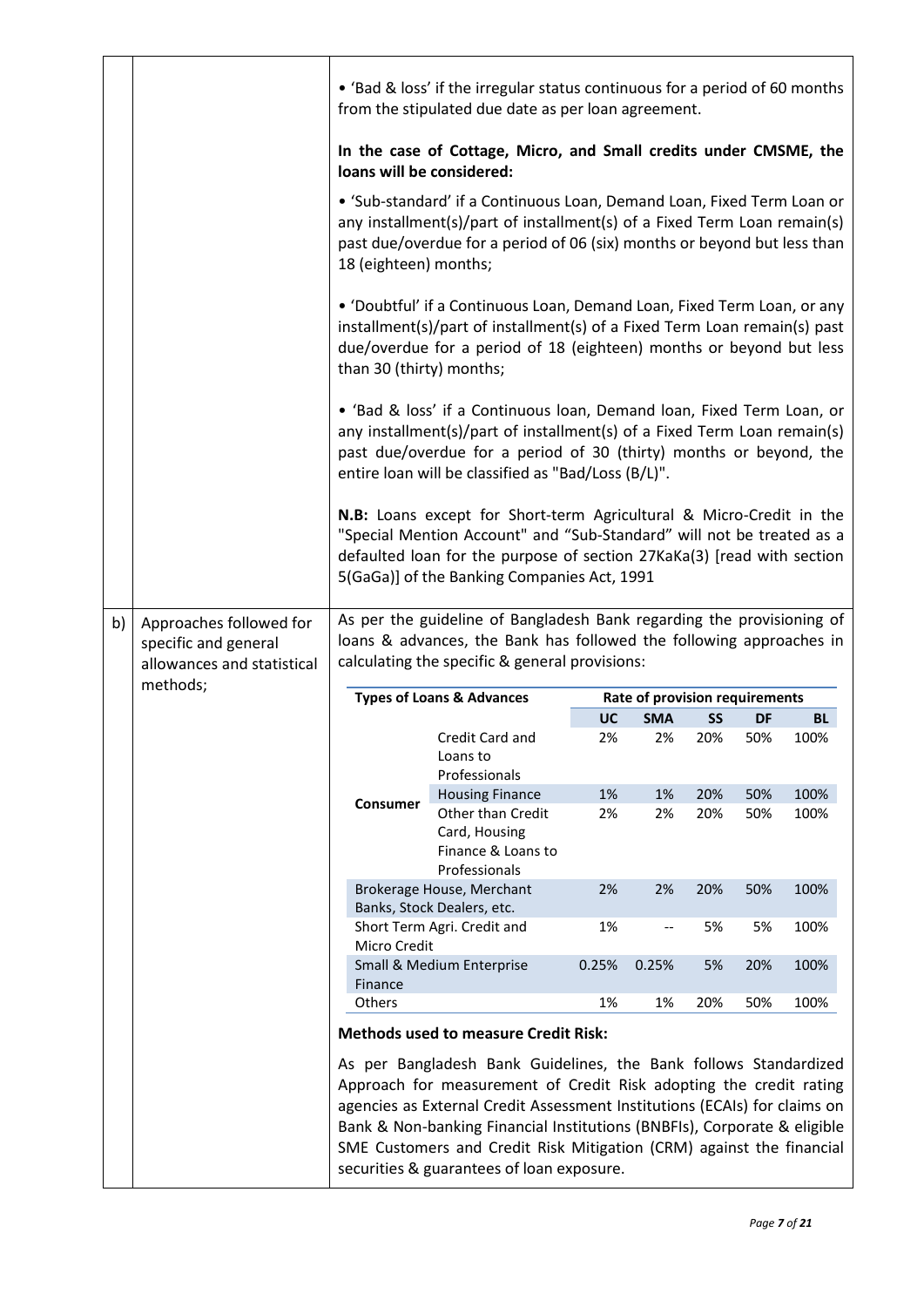|    |                                                 | • 'Bad & loss' if the irregular status continuous for a period of 60 months<br>from the stipulated due date as per loan agreement.                                                                                                                                                                                                                                                                                                                                                                                                                      |                                                           |       |                                |     |     |           |
|----|-------------------------------------------------|---------------------------------------------------------------------------------------------------------------------------------------------------------------------------------------------------------------------------------------------------------------------------------------------------------------------------------------------------------------------------------------------------------------------------------------------------------------------------------------------------------------------------------------------------------|-----------------------------------------------------------|-------|--------------------------------|-----|-----|-----------|
|    |                                                 | In the case of Cottage, Micro, and Small credits under CMSME, the<br>loans will be considered:                                                                                                                                                                                                                                                                                                                                                                                                                                                          |                                                           |       |                                |     |     |           |
|    |                                                 | • 'Sub-standard' if a Continuous Loan, Demand Loan, Fixed Term Loan or<br>any installment(s)/part of installment(s) of a Fixed Term Loan remain(s)<br>past due/overdue for a period of 06 (six) months or beyond but less than<br>18 (eighteen) months;                                                                                                                                                                                                                                                                                                 |                                                           |       |                                |     |     |           |
|    |                                                 | • 'Doubtful' if a Continuous Loan, Demand Loan, Fixed Term Loan, or any<br>installment(s)/part of installment(s) of a Fixed Term Loan remain(s) past<br>due/overdue for a period of 18 (eighteen) months or beyond but less<br>than 30 (thirty) months;                                                                                                                                                                                                                                                                                                 |                                                           |       |                                |     |     |           |
|    |                                                 | • 'Bad & loss' if a Continuous loan, Demand loan, Fixed Term Loan, or<br>any installment(s)/part of installment(s) of a Fixed Term Loan remain(s)<br>past due/overdue for a period of 30 (thirty) months or beyond, the<br>entire loan will be classified as "Bad/Loss (B/L)".<br>N.B: Loans except for Short-term Agricultural & Micro-Credit in the<br>"Special Mention Account" and "Sub-Standard" will not be treated as a<br>defaulted loan for the purpose of section 27KaKa(3) [read with section<br>5(GaGa)] of the Banking Companies Act, 1991 |                                                           |       |                                |     |     |           |
|    |                                                 |                                                                                                                                                                                                                                                                                                                                                                                                                                                                                                                                                         |                                                           |       |                                |     |     |           |
| b) | Approaches followed for<br>specific and general | As per the guideline of Bangladesh Bank regarding the provisioning of<br>loans & advances, the Bank has followed the following approaches in<br>calculating the specific & general provisions:                                                                                                                                                                                                                                                                                                                                                          |                                                           |       |                                |     |     |           |
|    | allowances and statistical                      |                                                                                                                                                                                                                                                                                                                                                                                                                                                                                                                                                         |                                                           |       |                                |     |     |           |
|    | methods;                                        |                                                                                                                                                                                                                                                                                                                                                                                                                                                                                                                                                         | <b>Types of Loans &amp; Advances</b>                      |       | Rate of provision requirements |     |     |           |
|    |                                                 |                                                                                                                                                                                                                                                                                                                                                                                                                                                                                                                                                         |                                                           | UC    | <b>SMA</b>                     | SS  | DF  | <b>BL</b> |
|    |                                                 |                                                                                                                                                                                                                                                                                                                                                                                                                                                                                                                                                         | Credit Card and<br>Loans to<br>Professionals              | 2%    | 2%                             | 20% | 50% | 100%      |
|    |                                                 |                                                                                                                                                                                                                                                                                                                                                                                                                                                                                                                                                         | <b>Housing Finance</b>                                    | 1%    | 1%                             | 20% | 50% | 100%      |
|    |                                                 | Consumer                                                                                                                                                                                                                                                                                                                                                                                                                                                                                                                                                | Other than Credit<br>Card, Housing<br>Finance & Loans to  | 2%    | 2%                             | 20% | 50% | 100%      |
|    |                                                 |                                                                                                                                                                                                                                                                                                                                                                                                                                                                                                                                                         | Professionals<br>Brokerage House, Merchant                | 2%    | 2%                             | 20% | 50% | 100%      |
|    |                                                 |                                                                                                                                                                                                                                                                                                                                                                                                                                                                                                                                                         | Banks, Stock Dealers, etc.<br>Short Term Agri. Credit and | 1%    | --                             | 5%  | 5%  | 100%      |
|    |                                                 | Micro Credit                                                                                                                                                                                                                                                                                                                                                                                                                                                                                                                                            | Small & Medium Enterprise                                 | 0.25% | 0.25%                          | 5%  | 20% | 100%      |
|    |                                                 | Finance<br>Others                                                                                                                                                                                                                                                                                                                                                                                                                                                                                                                                       |                                                           | 1%    | 1%                             | 20% | 50% | 100%      |
|    |                                                 |                                                                                                                                                                                                                                                                                                                                                                                                                                                                                                                                                         | <b>Methods used to measure Credit Risk:</b>               |       |                                |     |     |           |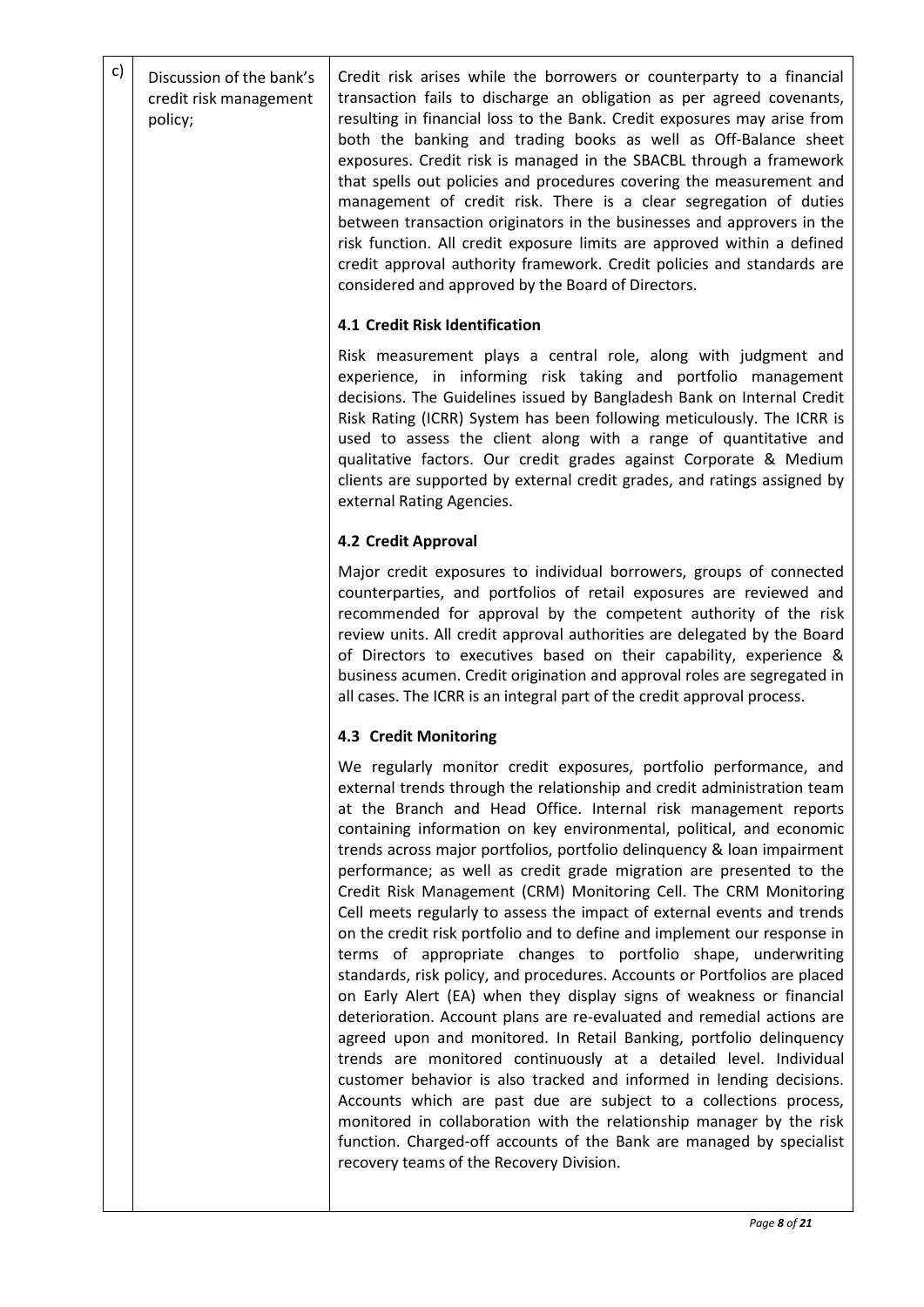| Discussion of the bank's<br>credit risk management<br>policy; | Credit risk arises while the borrowers or counterparty to a financial<br>transaction fails to discharge an obligation as per agreed covenants,<br>resulting in financial loss to the Bank. Credit exposures may arise from<br>both the banking and trading books as well as Off-Balance sheet<br>exposures. Credit risk is managed in the SBACBL through a framework<br>that spells out policies and procedures covering the measurement and<br>management of credit risk. There is a clear segregation of duties<br>between transaction originators in the businesses and approvers in the<br>risk function. All credit exposure limits are approved within a defined<br>credit approval authority framework. Credit policies and standards are<br>considered and approved by the Board of Directors.                                                                                                                                                                                                                                                                                                                                                                                                                                                                                                                                                                                                                                                    |
|---------------------------------------------------------------|-----------------------------------------------------------------------------------------------------------------------------------------------------------------------------------------------------------------------------------------------------------------------------------------------------------------------------------------------------------------------------------------------------------------------------------------------------------------------------------------------------------------------------------------------------------------------------------------------------------------------------------------------------------------------------------------------------------------------------------------------------------------------------------------------------------------------------------------------------------------------------------------------------------------------------------------------------------------------------------------------------------------------------------------------------------------------------------------------------------------------------------------------------------------------------------------------------------------------------------------------------------------------------------------------------------------------------------------------------------------------------------------------------------------------------------------------------------|
|                                                               | 4.1 Credit Risk Identification                                                                                                                                                                                                                                                                                                                                                                                                                                                                                                                                                                                                                                                                                                                                                                                                                                                                                                                                                                                                                                                                                                                                                                                                                                                                                                                                                                                                                            |
|                                                               | Risk measurement plays a central role, along with judgment and<br>experience, in informing risk taking and portfolio management<br>decisions. The Guidelines issued by Bangladesh Bank on Internal Credit<br>Risk Rating (ICRR) System has been following meticulously. The ICRR is<br>used to assess the client along with a range of quantitative and<br>qualitative factors. Our credit grades against Corporate & Medium<br>clients are supported by external credit grades, and ratings assigned by<br>external Rating Agencies.                                                                                                                                                                                                                                                                                                                                                                                                                                                                                                                                                                                                                                                                                                                                                                                                                                                                                                                     |
|                                                               | 4.2 Credit Approval                                                                                                                                                                                                                                                                                                                                                                                                                                                                                                                                                                                                                                                                                                                                                                                                                                                                                                                                                                                                                                                                                                                                                                                                                                                                                                                                                                                                                                       |
|                                                               | Major credit exposures to individual borrowers, groups of connected<br>counterparties, and portfolios of retail exposures are reviewed and<br>recommended for approval by the competent authority of the risk<br>review units. All credit approval authorities are delegated by the Board<br>of Directors to executives based on their capability, experience &<br>business acumen. Credit origination and approval roles are segregated in<br>all cases. The ICRR is an integral part of the credit approval process.                                                                                                                                                                                                                                                                                                                                                                                                                                                                                                                                                                                                                                                                                                                                                                                                                                                                                                                                    |
|                                                               | 4.3 Credit Monitoring                                                                                                                                                                                                                                                                                                                                                                                                                                                                                                                                                                                                                                                                                                                                                                                                                                                                                                                                                                                                                                                                                                                                                                                                                                                                                                                                                                                                                                     |
|                                                               | We regularly monitor credit exposures, portfolio performance, and<br>external trends through the relationship and credit administration team<br>at the Branch and Head Office. Internal risk management reports<br>containing information on key environmental, political, and economic<br>trends across major portfolios, portfolio delinquency & loan impairment<br>performance; as well as credit grade migration are presented to the<br>Credit Risk Management (CRM) Monitoring Cell. The CRM Monitoring<br>Cell meets regularly to assess the impact of external events and trends<br>on the credit risk portfolio and to define and implement our response in<br>terms of appropriate changes to portfolio shape, underwriting<br>standards, risk policy, and procedures. Accounts or Portfolios are placed<br>on Early Alert (EA) when they display signs of weakness or financial<br>deterioration. Account plans are re-evaluated and remedial actions are<br>agreed upon and monitored. In Retail Banking, portfolio delinquency<br>trends are monitored continuously at a detailed level. Individual<br>customer behavior is also tracked and informed in lending decisions.<br>Accounts which are past due are subject to a collections process,<br>monitored in collaboration with the relationship manager by the risk<br>function. Charged-off accounts of the Bank are managed by specialist<br>recovery teams of the Recovery Division. |
|                                                               |                                                                                                                                                                                                                                                                                                                                                                                                                                                                                                                                                                                                                                                                                                                                                                                                                                                                                                                                                                                                                                                                                                                                                                                                                                                                                                                                                                                                                                                           |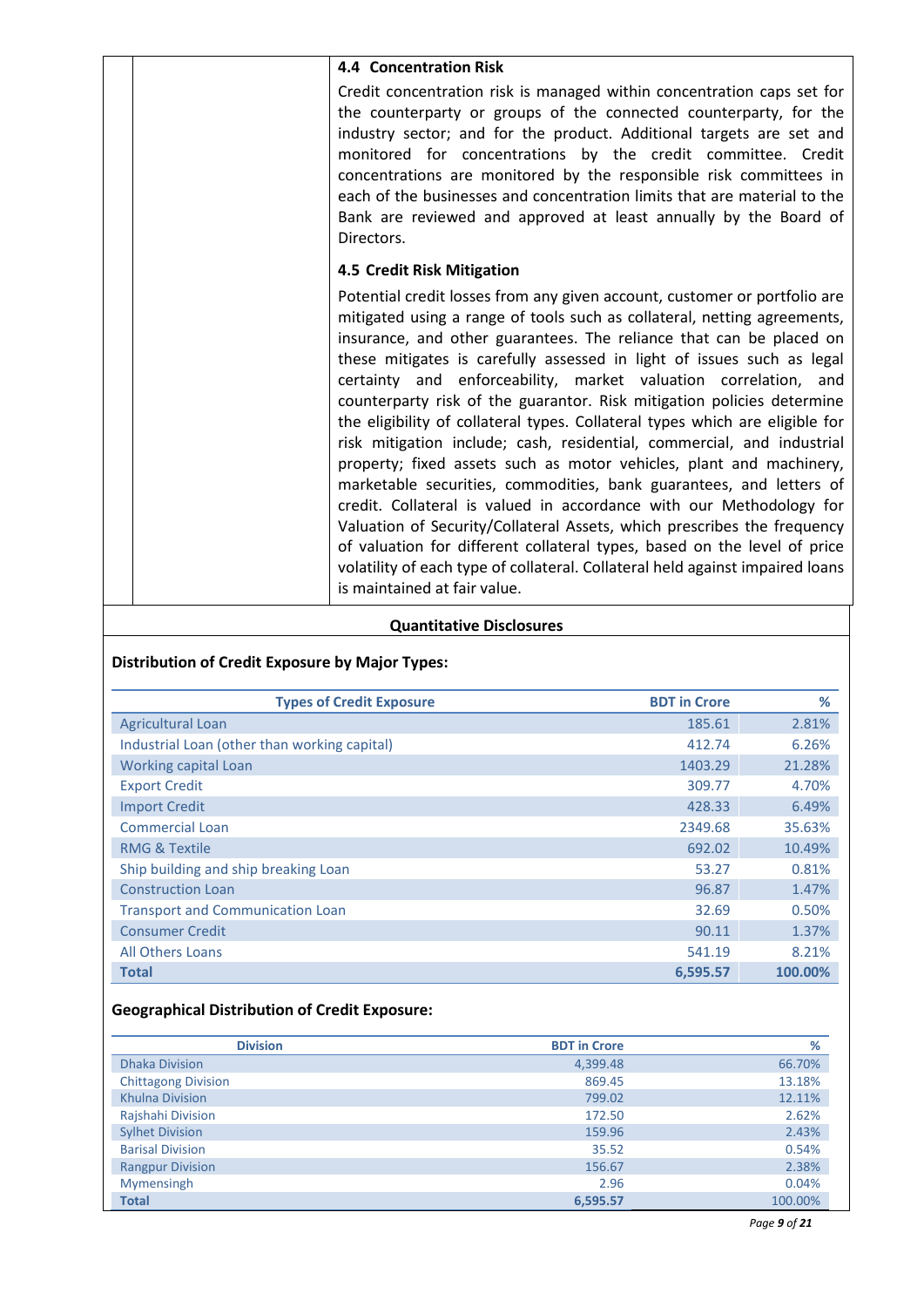| 4.4 Concentration Risk                                                                                                                                                                                                                                                                                                                                                                                                                                                                                                                                                                                                                                                                                                                                                                                                                                                                                                                                                                                                                                                                                     |  |
|------------------------------------------------------------------------------------------------------------------------------------------------------------------------------------------------------------------------------------------------------------------------------------------------------------------------------------------------------------------------------------------------------------------------------------------------------------------------------------------------------------------------------------------------------------------------------------------------------------------------------------------------------------------------------------------------------------------------------------------------------------------------------------------------------------------------------------------------------------------------------------------------------------------------------------------------------------------------------------------------------------------------------------------------------------------------------------------------------------|--|
|                                                                                                                                                                                                                                                                                                                                                                                                                                                                                                                                                                                                                                                                                                                                                                                                                                                                                                                                                                                                                                                                                                            |  |
| Credit concentration risk is managed within concentration caps set for<br>the counterparty or groups of the connected counterparty, for the<br>industry sector; and for the product. Additional targets are set and<br>monitored for concentrations by the credit committee. Credit<br>concentrations are monitored by the responsible risk committees in<br>each of the businesses and concentration limits that are material to the<br>Bank are reviewed and approved at least annually by the Board of<br>Directors.                                                                                                                                                                                                                                                                                                                                                                                                                                                                                                                                                                                    |  |
| 4.5 Credit Risk Mitigation                                                                                                                                                                                                                                                                                                                                                                                                                                                                                                                                                                                                                                                                                                                                                                                                                                                                                                                                                                                                                                                                                 |  |
| Potential credit losses from any given account, customer or portfolio are<br>mitigated using a range of tools such as collateral, netting agreements,<br>insurance, and other guarantees. The reliance that can be placed on<br>these mitigates is carefully assessed in light of issues such as legal<br>certainty and enforceability, market valuation correlation, and<br>counterparty risk of the guarantor. Risk mitigation policies determine<br>the eligibility of collateral types. Collateral types which are eligible for<br>risk mitigation include; cash, residential, commercial, and industrial<br>property; fixed assets such as motor vehicles, plant and machinery,<br>marketable securities, commodities, bank guarantees, and letters of<br>credit. Collateral is valued in accordance with our Methodology for<br>Valuation of Security/Collateral Assets, which prescribes the frequency<br>of valuation for different collateral types, based on the level of price<br>volatility of each type of collateral. Collateral held against impaired loans<br>is maintained at fair value. |  |
|                                                                                                                                                                                                                                                                                                                                                                                                                                                                                                                                                                                                                                                                                                                                                                                                                                                                                                                                                                                                                                                                                                            |  |

## **Quantitative Disclosures**

# **Distribution of Credit Exposure by Major Types:**

| <b>Types of Credit Exposure</b>              | <b>BDT</b> in Crore | %       |
|----------------------------------------------|---------------------|---------|
| <b>Agricultural Loan</b>                     | 185.61              | 2.81%   |
| Industrial Loan (other than working capital) | 412.74              | 6.26%   |
| Working capital Loan                         | 1403.29             | 21.28%  |
| <b>Export Credit</b>                         | 309.77              | 4.70%   |
| <b>Import Credit</b>                         | 428.33              | 6.49%   |
| <b>Commercial Loan</b>                       | 2349.68             | 35.63%  |
| <b>RMG &amp; Textile</b>                     | 692.02              | 10.49%  |
| Ship building and ship breaking Loan         | 53.27               | 0.81%   |
| <b>Construction Loan</b>                     | 96.87               | 1.47%   |
| <b>Transport and Communication Loan</b>      | 32.69               | 0.50%   |
| <b>Consumer Credit</b>                       | 90.11               | 1.37%   |
| All Others Loans                             | 541.19              | 8.21%   |
| <b>Total</b>                                 | 6.595.57            | 100.00% |

# **Geographical Distribution of Credit Exposure:**

| <b>Division</b>            | <b>BDT</b> in Crore | %       |
|----------------------------|---------------------|---------|
| <b>Dhaka Division</b>      | 4,399.48            | 66.70%  |
| <b>Chittagong Division</b> | 869.45              | 13.18%  |
| <b>Khulna Division</b>     | 799.02              | 12.11%  |
| Rajshahi Division          | 172.50              | 2.62%   |
| <b>Sylhet Division</b>     | 159.96              | 2.43%   |
| <b>Barisal Division</b>    | 35.52               | 0.54%   |
| <b>Rangpur Division</b>    | 156.67              | 2.38%   |
| Mymensingh                 | 2.96                | 0.04%   |
| <b>Total</b>               | 6.595.57            | 100.00% |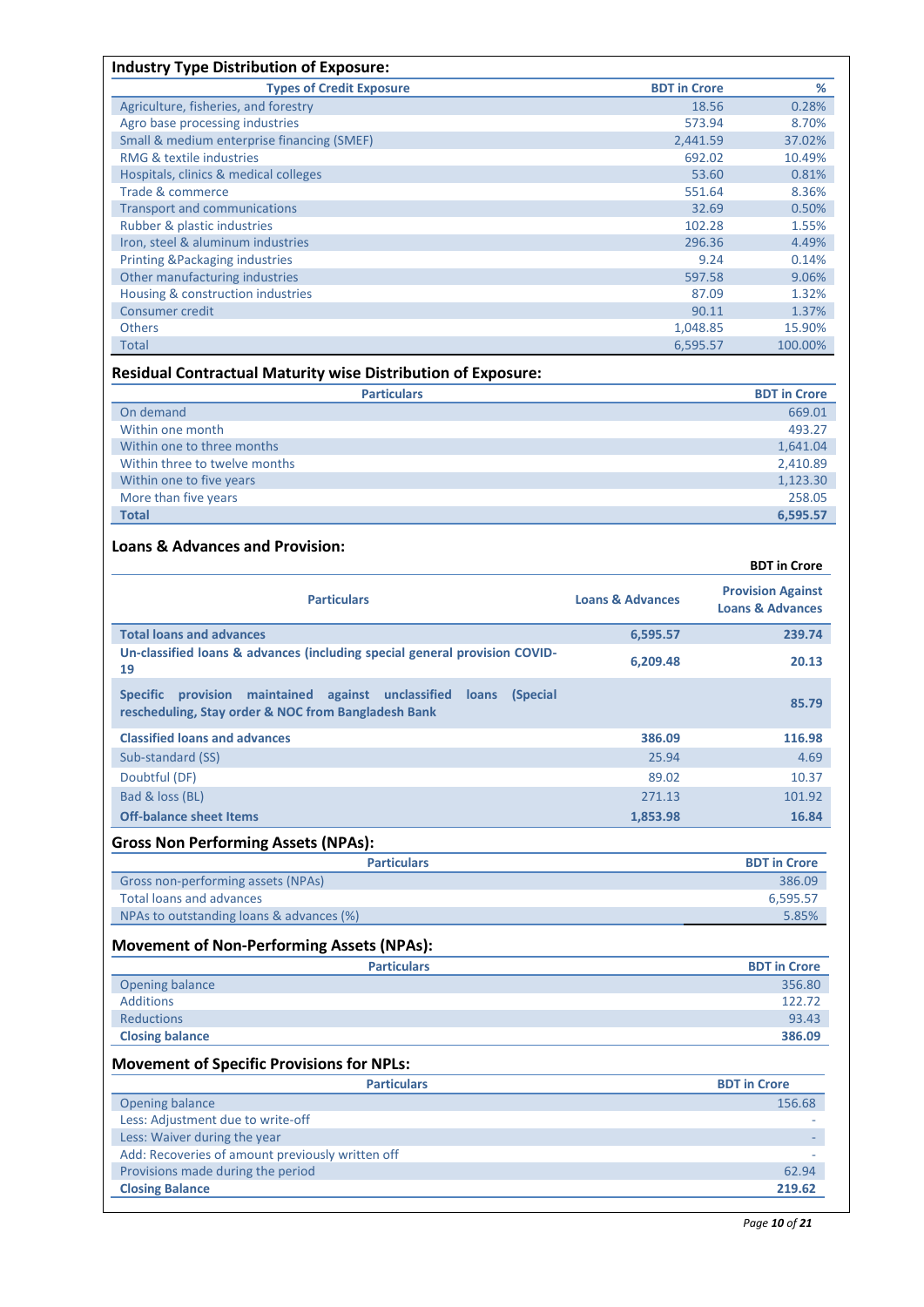| <b>Types of Credit Exposure</b>            | <b>BDT</b> in Crore | %       |
|--------------------------------------------|---------------------|---------|
| Agriculture, fisheries, and forestry       | 18.56               | 0.28%   |
| Agro base processing industries            | 573.94              | 8.70%   |
| Small & medium enterprise financing (SMEF) | 2,441.59            | 37.02%  |
| RMG & textile industries                   | 692.02              | 10.49%  |
| Hospitals, clinics & medical colleges      | 53.60               | 0.81%   |
| Trade & commerce                           | 551.64              | 8.36%   |
| <b>Transport and communications</b>        | 32.69               | 0.50%   |
| Rubber & plastic industries                | 102.28              | 1.55%   |
| Iron, steel & aluminum industries          | 296.36              | 4.49%   |
| <b>Printing &amp;Packaging industries</b>  | 9.24                | 0.14%   |
| Other manufacturing industries             | 597.58              | 9.06%   |
| Housing & construction industries          | 87.09               | 1.32%   |
| Consumer credit                            | 90.11               | 1.37%   |
| <b>Others</b>                              | 1,048.85            | 15.90%  |
| Total                                      | 6,595.57            | 100.00% |

# **Residual Contractual Maturity wise Distribution of Exposure:**

| <b>Particulars</b>            | <b>BDT</b> in Crore |
|-------------------------------|---------------------|
| On demand                     | 669.01              |
| Within one month              | 493.27              |
| Within one to three months    | 1,641.04            |
| Within three to twelve months | 2,410.89            |
| Within one to five years      | 1,123.30            |
| More than five years          | 258.05              |
| <b>Total</b>                  | 6.595.57            |

### **Loans & Advances and Provision:**

|                                                                                                                                             |                             | <b>BDT</b> in Crore                                     |
|---------------------------------------------------------------------------------------------------------------------------------------------|-----------------------------|---------------------------------------------------------|
| <b>Particulars</b>                                                                                                                          | <b>Loans &amp; Advances</b> | <b>Provision Against</b><br><b>Loans &amp; Advances</b> |
| <b>Total loans and advances</b>                                                                                                             | 6,595.57                    | 239.74                                                  |
| Un-classified loans & advances (including special general provision COVID-<br>19                                                            | 6,209.48                    | 20.13                                                   |
| <b>Specific</b><br>provision<br>maintained against unclassified<br>(Special<br>loans<br>rescheduling, Stay order & NOC from Bangladesh Bank |                             | 85.79                                                   |
| <b>Classified loans and advances</b>                                                                                                        | 386.09                      | 116.98                                                  |
| Sub-standard (SS)                                                                                                                           | 25.94                       | 4.69                                                    |
| Doubtful (DF)                                                                                                                               | 89.02                       | 10.37                                                   |
| Bad & loss (BL)                                                                                                                             | 271.13                      | 101.92                                                  |
| <b>Off-balance sheet Items</b>                                                                                                              | 1,853.98                    | 16.84                                                   |
| <b>Gross Non Performing Assets (NPAs):</b>                                                                                                  |                             |                                                         |
| <b>Particulars</b>                                                                                                                          |                             | <b>BDT</b> in Crore                                     |
| Gross non-performing assets (NPAs)                                                                                                          |                             | 386.09                                                  |
| <b>Total loans and advances</b>                                                                                                             |                             | 6,595.57                                                |
| NPAs to outstanding loans & advances (%)                                                                                                    |                             | 5.85%                                                   |
| <b>Movement of Non-Performing Assets (NPAs):</b>                                                                                            |                             |                                                         |

|                        | <b>Particulars</b> | <b>BDT</b> in Crore |
|------------------------|--------------------|---------------------|
| Opening balance        |                    | 356.80              |
| Additions              |                    | 122.72              |
| <b>Reductions</b>      |                    | 93.43               |
| <b>Closing balance</b> |                    | 386.09              |

## **Movement of Specific Provisions for NPLs:**

| <b>Particulars</b>                               | <b>BDT</b> in Crore |
|--------------------------------------------------|---------------------|
| Opening balance                                  | 156.68              |
| Less: Adjustment due to write-off                |                     |
| Less: Waiver during the year                     |                     |
| Add: Recoveries of amount previously written off |                     |
| Provisions made during the period                | 62.94               |
| <b>Closing Balance</b>                           | 219.62              |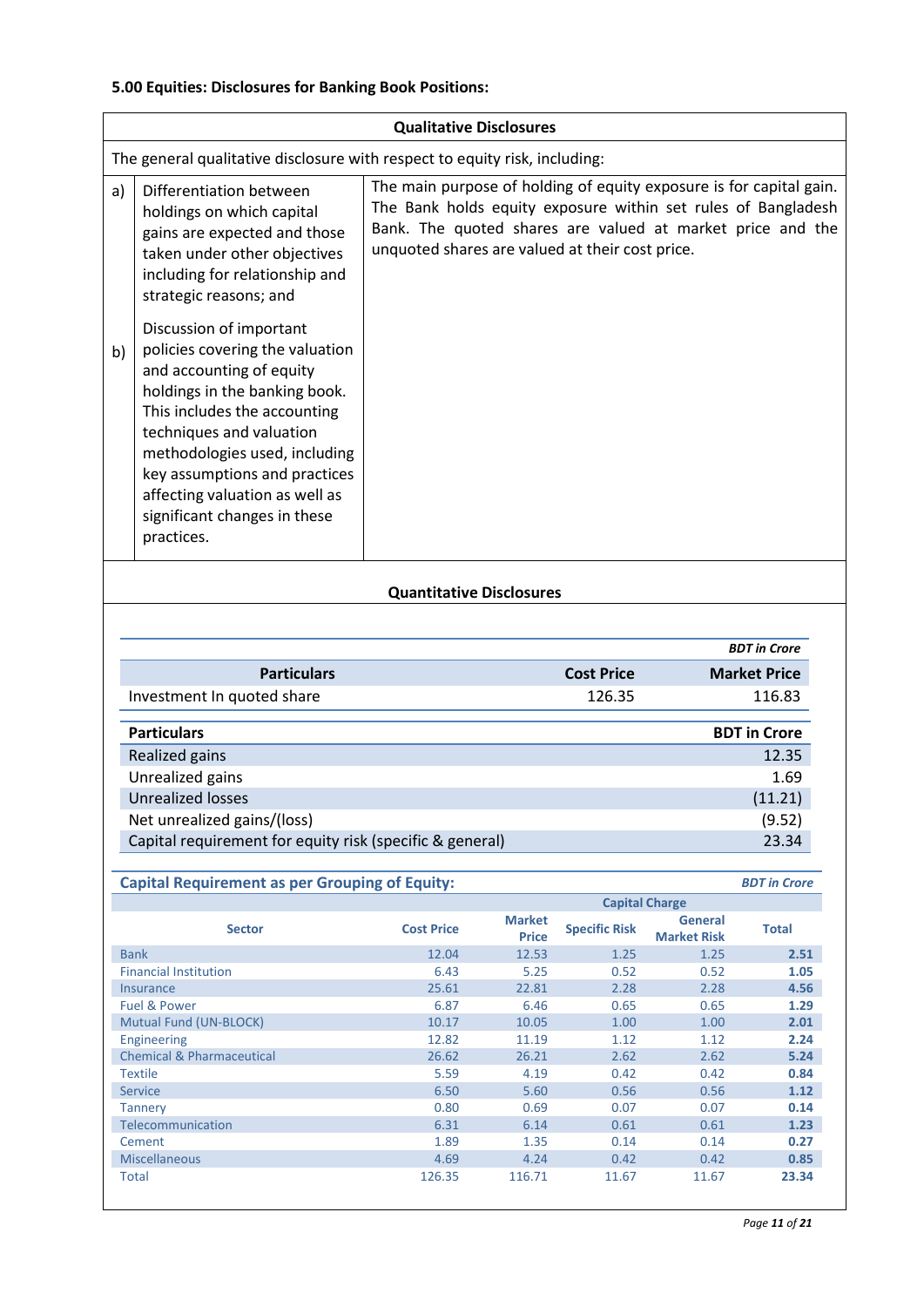# **5.00 Equities: Disclosures for Banking Book Positions:**

|    | <b>Qualitative Disclosures</b>                                                                                                                                                                                                                                                                                                        |                                                                                                                                                                                                                                                       |  |  |
|----|---------------------------------------------------------------------------------------------------------------------------------------------------------------------------------------------------------------------------------------------------------------------------------------------------------------------------------------|-------------------------------------------------------------------------------------------------------------------------------------------------------------------------------------------------------------------------------------------------------|--|--|
|    | The general qualitative disclosure with respect to equity risk, including:                                                                                                                                                                                                                                                            |                                                                                                                                                                                                                                                       |  |  |
| a) | Differentiation between<br>holdings on which capital<br>gains are expected and those<br>taken under other objectives<br>including for relationship and<br>strategic reasons; and                                                                                                                                                      | The main purpose of holding of equity exposure is for capital gain.<br>The Bank holds equity exposure within set rules of Bangladesh<br>Bank. The quoted shares are valued at market price and the<br>unquoted shares are valued at their cost price. |  |  |
| b) | Discussion of important<br>policies covering the valuation<br>and accounting of equity<br>holdings in the banking book.<br>This includes the accounting<br>techniques and valuation<br>methodologies used, including<br>key assumptions and practices<br>affecting valuation as well as<br>significant changes in these<br>practices. |                                                                                                                                                                                                                                                       |  |  |
|    | Quantitative Disclesures                                                                                                                                                                                                                                                                                                              |                                                                                                                                                                                                                                                       |  |  |

#### **Quantitative Disclosures**

|                                                          |                   | <b>BDT</b> in Crore |
|----------------------------------------------------------|-------------------|---------------------|
| <b>Particulars</b>                                       | <b>Cost Price</b> | <b>Market Price</b> |
| Investment In quoted share                               | 126.35            | 116.83              |
|                                                          |                   |                     |
| <b>Particulars</b>                                       |                   | <b>BDT</b> in Crore |
| Realized gains                                           |                   | 12.35               |
| Unrealized gains                                         |                   | 1.69                |
| <b>Unrealized losses</b>                                 |                   | (11.21)             |
| Net unrealized gains/(loss)                              |                   | (9.52)              |
| Capital requirement for equity risk (specific & general) |                   | 23.34               |

| <b>Capital Requirement as per Grouping of Equity:</b> |                   |                               |                       | <b>BDT</b> in Crore           |              |
|-------------------------------------------------------|-------------------|-------------------------------|-----------------------|-------------------------------|--------------|
|                                                       |                   |                               | <b>Capital Charge</b> |                               |              |
| <b>Sector</b>                                         | <b>Cost Price</b> | <b>Market</b><br><b>Price</b> | <b>Specific Risk</b>  | General<br><b>Market Risk</b> | <b>Total</b> |
| <b>Bank</b>                                           | 12.04             | 12.53                         | 1.25                  | 1.25                          | 2.51         |
| <b>Financial Institution</b>                          | 6.43              | 5.25                          | 0.52                  | 0.52                          | 1.05         |
| Insurance                                             | 25.61             | 22.81                         | 2.28                  | 2.28                          | 4.56         |
| <b>Fuel &amp; Power</b>                               | 6.87              | 6.46                          | 0.65                  | 0.65                          | 1.29         |
| Mutual Fund (UN-BLOCK)                                | 10.17             | 10.05                         | 1.00                  | 1.00                          | 2.01         |
| Engineering                                           | 12.82             | 11.19                         | 1.12                  | 1.12                          | 2.24         |
| <b>Chemical &amp; Pharmaceutical</b>                  | 26.62             | 26.21                         | 2.62                  | 2.62                          | 5.24         |
| <b>Textile</b>                                        | 5.59              | 4.19                          | 0.42                  | 0.42                          | 0.84         |
| <b>Service</b>                                        | 6.50              | 5.60                          | 0.56                  | 0.56                          | 1.12         |
| <b>Tannery</b>                                        | 0.80              | 0.69                          | 0.07                  | 0.07                          | 0.14         |
| Telecommunication                                     | 6.31              | 6.14                          | 0.61                  | 0.61                          | 1.23         |
| Cement                                                | 1.89              | 1.35                          | 0.14                  | 0.14                          | 0.27         |
| <b>Miscellaneous</b>                                  | 4.69              | 4.24                          | 0.42                  | 0.42                          | 0.85         |
| Total                                                 | 126.35            | 116.71                        | 11.67                 | 11.67                         | 23.34        |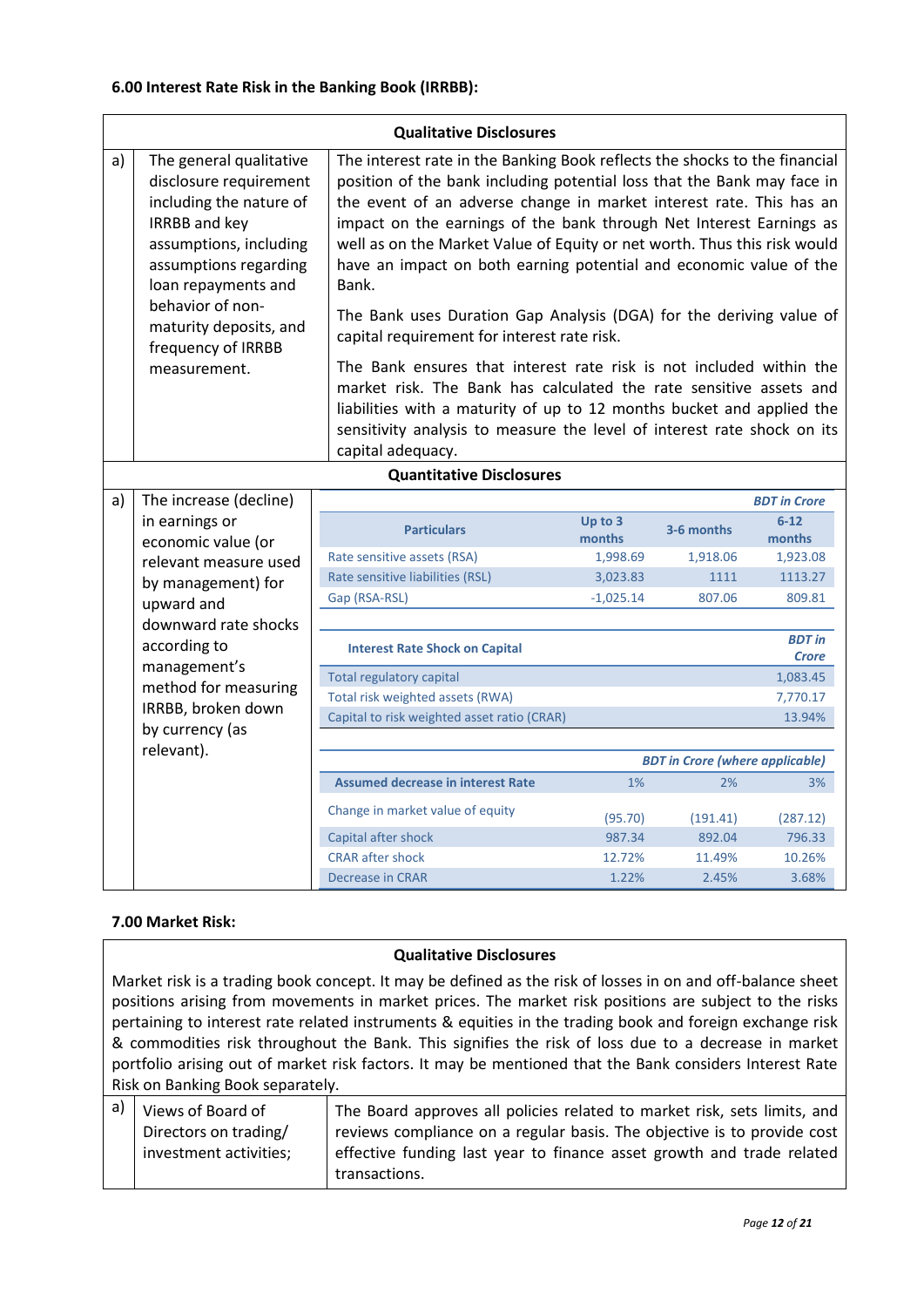|                                                                   | <b>Qualitative Disclosures</b>                                                                                                                                                                                                                                                                                                                                                                                                                                                                                                                                                                                                                                                                                                              |                                             |                               |            |                     |
|-------------------------------------------------------------------|---------------------------------------------------------------------------------------------------------------------------------------------------------------------------------------------------------------------------------------------------------------------------------------------------------------------------------------------------------------------------------------------------------------------------------------------------------------------------------------------------------------------------------------------------------------------------------------------------------------------------------------------------------------------------------------------------------------------------------------------|---------------------------------------------|-------------------------------|------------|---------------------|
| a)                                                                | The interest rate in the Banking Book reflects the shocks to the financial<br>The general qualitative<br>position of the bank including potential loss that the Bank may face in<br>disclosure requirement<br>the event of an adverse change in market interest rate. This has an<br>including the nature of<br><b>IRRBB</b> and key<br>impact on the earnings of the bank through Net Interest Earnings as<br>assumptions, including<br>well as on the Market Value of Equity or net worth. Thus this risk would<br>assumptions regarding<br>have an impact on both earning potential and economic value of the<br>loan repayments and<br>Bank.<br>behavior of non-<br>The Bank uses Duration Gap Analysis (DGA) for the deriving value of |                                             |                               |            |                     |
|                                                                   | maturity deposits, and                                                                                                                                                                                                                                                                                                                                                                                                                                                                                                                                                                                                                                                                                                                      | capital requirement for interest rate risk. |                               |            |                     |
|                                                                   | frequency of IRRBB<br>The Bank ensures that interest rate risk is not included within the<br>measurement.<br>market risk. The Bank has calculated the rate sensitive assets and<br>liabilities with a maturity of up to 12 months bucket and applied the<br>sensitivity analysis to measure the level of interest rate shock on its<br>capital adequacy.                                                                                                                                                                                                                                                                                                                                                                                    |                                             |                               |            |                     |
|                                                                   | <b>Quantitative Disclosures</b>                                                                                                                                                                                                                                                                                                                                                                                                                                                                                                                                                                                                                                                                                                             |                                             |                               |            |                     |
| a)                                                                | The increase (decline)                                                                                                                                                                                                                                                                                                                                                                                                                                                                                                                                                                                                                                                                                                                      |                                             |                               |            | <b>BDT</b> in Crore |
|                                                                   | in earnings or<br>economic value (or                                                                                                                                                                                                                                                                                                                                                                                                                                                                                                                                                                                                                                                                                                        | <b>Particulars</b>                          | Up to 3<br>months             | 3-6 months | $6 - 12$<br>months  |
|                                                                   | relevant measure used                                                                                                                                                                                                                                                                                                                                                                                                                                                                                                                                                                                                                                                                                                                       | Rate sensitive assets (RSA)                 | 1,998.69                      | 1,918.06   | 1,923.08            |
|                                                                   | by management) for                                                                                                                                                                                                                                                                                                                                                                                                                                                                                                                                                                                                                                                                                                                          | Rate sensitive liabilities (RSL)            | 3,023.83                      | 1111       | 1113.27             |
|                                                                   | upward and                                                                                                                                                                                                                                                                                                                                                                                                                                                                                                                                                                                                                                                                                                                                  | Gap (RSA-RSL)                               | $-1,025.14$                   | 807.06     | 809.81              |
|                                                                   | downward rate shocks                                                                                                                                                                                                                                                                                                                                                                                                                                                                                                                                                                                                                                                                                                                        |                                             |                               |            |                     |
| according to<br><b>Interest Rate Shock on Capital</b>             |                                                                                                                                                                                                                                                                                                                                                                                                                                                                                                                                                                                                                                                                                                                                             |                                             | <b>BDT</b> in<br><b>Crore</b> |            |                     |
|                                                                   | management's                                                                                                                                                                                                                                                                                                                                                                                                                                                                                                                                                                                                                                                                                                                                | <b>Total regulatory capital</b>             |                               |            | 1,083.45            |
|                                                                   | method for measuring                                                                                                                                                                                                                                                                                                                                                                                                                                                                                                                                                                                                                                                                                                                        | Total risk weighted assets (RWA)            |                               |            | 7,770.17            |
| IRRBB, broken down<br>Capital to risk weighted asset ratio (CRAR) |                                                                                                                                                                                                                                                                                                                                                                                                                                                                                                                                                                                                                                                                                                                                             |                                             | 13.94%                        |            |                     |
|                                                                   | by currency (as<br>relevant).                                                                                                                                                                                                                                                                                                                                                                                                                                                                                                                                                                                                                                                                                                               |                                             |                               |            |                     |
| <b>BDT</b> in Crore (where applicable)                            |                                                                                                                                                                                                                                                                                                                                                                                                                                                                                                                                                                                                                                                                                                                                             |                                             |                               |            |                     |
|                                                                   |                                                                                                                                                                                                                                                                                                                                                                                                                                                                                                                                                                                                                                                                                                                                             | <b>Assumed decrease in interest Rate</b>    | 1%                            | 2%         | 3%                  |
|                                                                   |                                                                                                                                                                                                                                                                                                                                                                                                                                                                                                                                                                                                                                                                                                                                             | Change in market value of equity            | (95.70)                       | (191.41)   | (287.12)            |
|                                                                   |                                                                                                                                                                                                                                                                                                                                                                                                                                                                                                                                                                                                                                                                                                                                             | Capital after shock                         | 987.34                        | 892.04     | 796.33              |
|                                                                   |                                                                                                                                                                                                                                                                                                                                                                                                                                                                                                                                                                                                                                                                                                                                             | <b>CRAR after shock</b>                     | 12.72%                        | 11.49%     | 10.26%              |
|                                                                   |                                                                                                                                                                                                                                                                                                                                                                                                                                                                                                                                                                                                                                                                                                                                             | <b>Decrease in CRAR</b>                     | 1.22%                         | 2.45%      | 3.68%               |

### **7.00 Market Risk:**

### **Qualitative Disclosures**

Market risk is a trading book concept. It may be defined as the risk of losses in on and off-balance sheet positions arising from movements in market prices. The market risk positions are subject to the risks pertaining to interest rate related instruments & equities in the trading book and foreign exchange risk & commodities risk throughout the Bank. This signifies the risk of loss due to a decrease in market portfolio arising out of market risk factors. It may be mentioned that the Bank considers Interest Rate Risk on Banking Book separately.

| a) | Views of Board of      | The Board approves all policies related to market risk, sets limits, and |
|----|------------------------|--------------------------------------------------------------------------|
|    | Directors on trading/  | reviews compliance on a regular basis. The objective is to provide cost  |
|    | investment activities; | effective funding last year to finance asset growth and trade related    |
|    |                        | transactions.                                                            |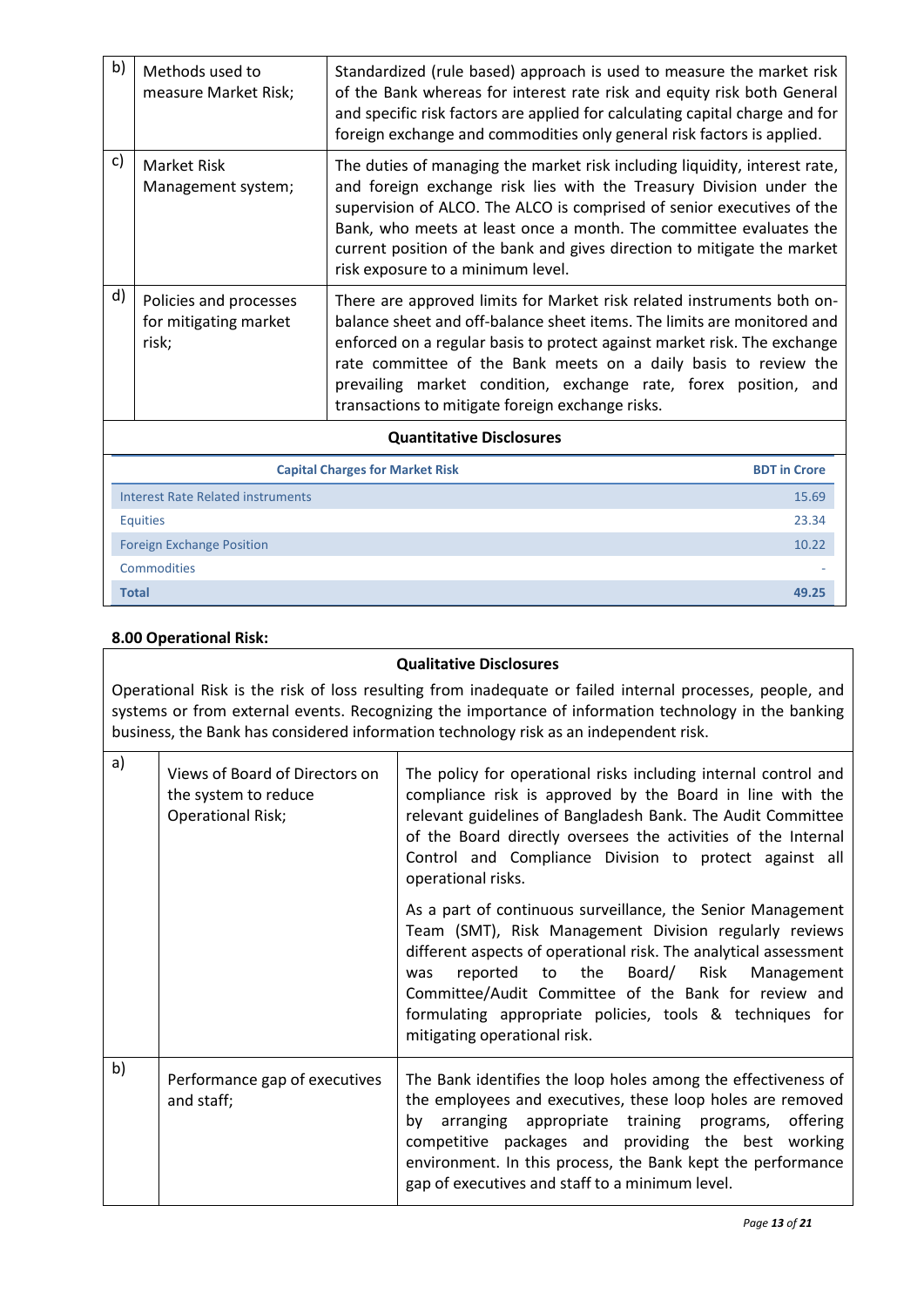| b)           | Methods used to<br>measure Market Risk;                  | Standardized (rule based) approach is used to measure the market risk<br>of the Bank whereas for interest rate risk and equity risk both General<br>and specific risk factors are applied for calculating capital charge and for<br>foreign exchange and commodities only general risk factors is applied.                                                                                                              |  |  |  |
|--------------|----------------------------------------------------------|-------------------------------------------------------------------------------------------------------------------------------------------------------------------------------------------------------------------------------------------------------------------------------------------------------------------------------------------------------------------------------------------------------------------------|--|--|--|
| c)           | Market Risk<br>Management system;                        | The duties of managing the market risk including liquidity, interest rate,<br>and foreign exchange risk lies with the Treasury Division under the<br>supervision of ALCO. The ALCO is comprised of senior executives of the<br>Bank, who meets at least once a month. The committee evaluates the<br>current position of the bank and gives direction to mitigate the market<br>risk exposure to a minimum level.       |  |  |  |
| $\mathsf{d}$ | Policies and processes<br>for mitigating market<br>risk; | There are approved limits for Market risk related instruments both on-<br>balance sheet and off-balance sheet items. The limits are monitored and<br>enforced on a regular basis to protect against market risk. The exchange<br>rate committee of the Bank meets on a daily basis to review the<br>prevailing market condition, exchange rate, forex position, and<br>transactions to mitigate foreign exchange risks. |  |  |  |
|              | <b>Quantitative Disclosures</b>                          |                                                                                                                                                                                                                                                                                                                                                                                                                         |  |  |  |

| Quantitative Disclosules                 |                     |
|------------------------------------------|---------------------|
| <b>Capital Charges for Market Risk</b>   | <b>BDT</b> in Crore |
| <b>Interest Rate Related instruments</b> | 15.69               |
| <b>Equities</b>                          | 23.34               |
| <b>Foreign Exchange Position</b>         | 10.22               |
| <b>Commodities</b>                       |                     |
| <b>Total</b>                             | 49.25               |

## **8.00 Operational Risk:**

### **Qualitative Disclosures**

Operational Risk is the risk of loss resulting from inadequate or failed internal processes, people, and systems or from external events. Recognizing the importance of information technology in the banking business, the Bank has considered information technology risk as an independent risk.

| a) | Views of Board of Directors on<br>the system to reduce<br><b>Operational Risk;</b> | The policy for operational risks including internal control and<br>compliance risk is approved by the Board in line with the<br>relevant guidelines of Bangladesh Bank. The Audit Committee<br>of the Board directly oversees the activities of the Internal<br>Control and Compliance Division to protect against all<br>operational risks.                                                   |
|----|------------------------------------------------------------------------------------|------------------------------------------------------------------------------------------------------------------------------------------------------------------------------------------------------------------------------------------------------------------------------------------------------------------------------------------------------------------------------------------------|
|    |                                                                                    | As a part of continuous surveillance, the Senior Management<br>Team (SMT), Risk Management Division regularly reviews<br>different aspects of operational risk. The analytical assessment<br>reported to the Board/ Risk Management<br>was<br>Committee/Audit Committee of the Bank for review and<br>formulating appropriate policies, tools & techniques for<br>mitigating operational risk. |
| b) | Performance gap of executives<br>and staff;                                        | The Bank identifies the loop holes among the effectiveness of<br>the employees and executives, these loop holes are removed<br>arranging appropriate training programs, offering<br>bv<br>competitive packages and providing the best working<br>environment. In this process, the Bank kept the performance<br>gap of executives and staff to a minimum level.                                |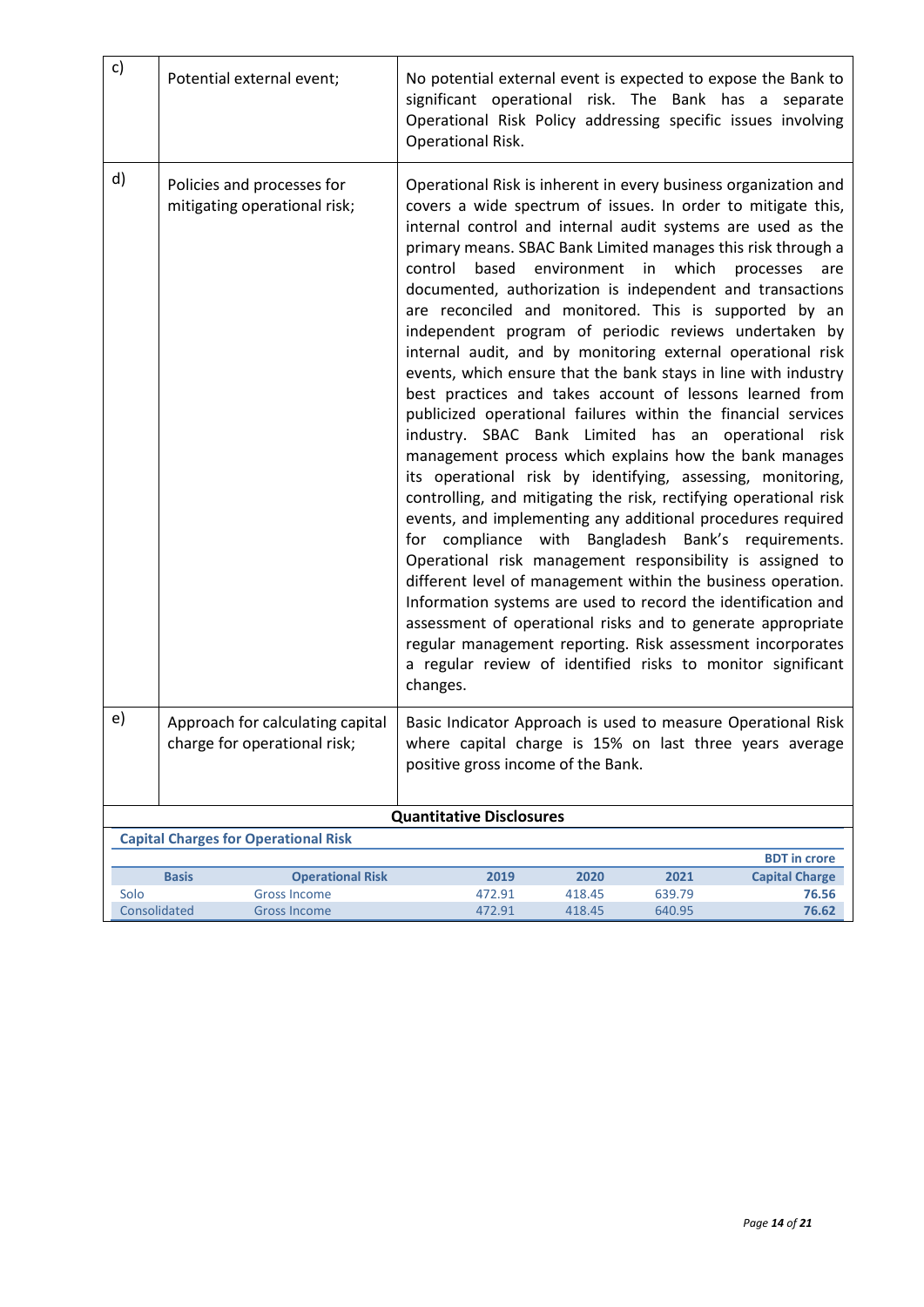| c)           | Potential external event;                                        | No potential external event is expected to expose the Bank to<br>significant operational risk. The Bank has a separate<br>Operational Risk Policy addressing specific issues involving<br>Operational Risk.                                                                                                                                                                                                                                                                                                                                                                                                                                                                                                                                                                                                                                                                                                                                                                                                                                                                                                                                                                                                                                                                                                                                                                                                                                                                                                      |                |        |                       |
|--------------|------------------------------------------------------------------|------------------------------------------------------------------------------------------------------------------------------------------------------------------------------------------------------------------------------------------------------------------------------------------------------------------------------------------------------------------------------------------------------------------------------------------------------------------------------------------------------------------------------------------------------------------------------------------------------------------------------------------------------------------------------------------------------------------------------------------------------------------------------------------------------------------------------------------------------------------------------------------------------------------------------------------------------------------------------------------------------------------------------------------------------------------------------------------------------------------------------------------------------------------------------------------------------------------------------------------------------------------------------------------------------------------------------------------------------------------------------------------------------------------------------------------------------------------------------------------------------------------|----------------|--------|-----------------------|
| d)           | Policies and processes for<br>mitigating operational risk;       | Operational Risk is inherent in every business organization and<br>covers a wide spectrum of issues. In order to mitigate this,<br>internal control and internal audit systems are used as the<br>primary means. SBAC Bank Limited manages this risk through a<br>control<br>based<br>documented, authorization is independent and transactions<br>are reconciled and monitored. This is supported by an<br>independent program of periodic reviews undertaken by<br>internal audit, and by monitoring external operational risk<br>events, which ensure that the bank stays in line with industry<br>best practices and takes account of lessons learned from<br>publicized operational failures within the financial services<br>industry. SBAC Bank Limited has an operational risk<br>management process which explains how the bank manages<br>its operational risk by identifying, assessing, monitoring,<br>controlling, and mitigating the risk, rectifying operational risk<br>events, and implementing any additional procedures required<br>for compliance with Bangladesh Bank's requirements.<br>Operational risk management responsibility is assigned to<br>different level of management within the business operation.<br>Information systems are used to record the identification and<br>assessment of operational risks and to generate appropriate<br>regular management reporting. Risk assessment incorporates<br>a regular review of identified risks to monitor significant<br>changes. | environment in | which  | processes<br>are      |
| e)           | Approach for calculating capital<br>charge for operational risk; | Basic Indicator Approach is used to measure Operational Risk<br>where capital charge is 15% on last three years average<br>positive gross income of the Bank.                                                                                                                                                                                                                                                                                                                                                                                                                                                                                                                                                                                                                                                                                                                                                                                                                                                                                                                                                                                                                                                                                                                                                                                                                                                                                                                                                    |                |        |                       |
|              | <b>Quantitative Disclosures</b>                                  |                                                                                                                                                                                                                                                                                                                                                                                                                                                                                                                                                                                                                                                                                                                                                                                                                                                                                                                                                                                                                                                                                                                                                                                                                                                                                                                                                                                                                                                                                                                  |                |        |                       |
|              | <b>Capital Charges for Operational Risk</b>                      |                                                                                                                                                                                                                                                                                                                                                                                                                                                                                                                                                                                                                                                                                                                                                                                                                                                                                                                                                                                                                                                                                                                                                                                                                                                                                                                                                                                                                                                                                                                  |                |        |                       |
|              |                                                                  |                                                                                                                                                                                                                                                                                                                                                                                                                                                                                                                                                                                                                                                                                                                                                                                                                                                                                                                                                                                                                                                                                                                                                                                                                                                                                                                                                                                                                                                                                                                  |                |        | <b>BDT</b> in crore   |
|              | <b>Basis</b><br><b>Operational Risk</b>                          | 2019                                                                                                                                                                                                                                                                                                                                                                                                                                                                                                                                                                                                                                                                                                                                                                                                                                                                                                                                                                                                                                                                                                                                                                                                                                                                                                                                                                                                                                                                                                             | 2020           | 2021   | <b>Capital Charge</b> |
| Solo         | <b>Gross Income</b>                                              | 472.91                                                                                                                                                                                                                                                                                                                                                                                                                                                                                                                                                                                                                                                                                                                                                                                                                                                                                                                                                                                                                                                                                                                                                                                                                                                                                                                                                                                                                                                                                                           | 418.45         | 639.79 | 76.56                 |
| Consolidated | <b>Gross Income</b>                                              | 472.91                                                                                                                                                                                                                                                                                                                                                                                                                                                                                                                                                                                                                                                                                                                                                                                                                                                                                                                                                                                                                                                                                                                                                                                                                                                                                                                                                                                                                                                                                                           | 418.45         | 640.95 | 76.62                 |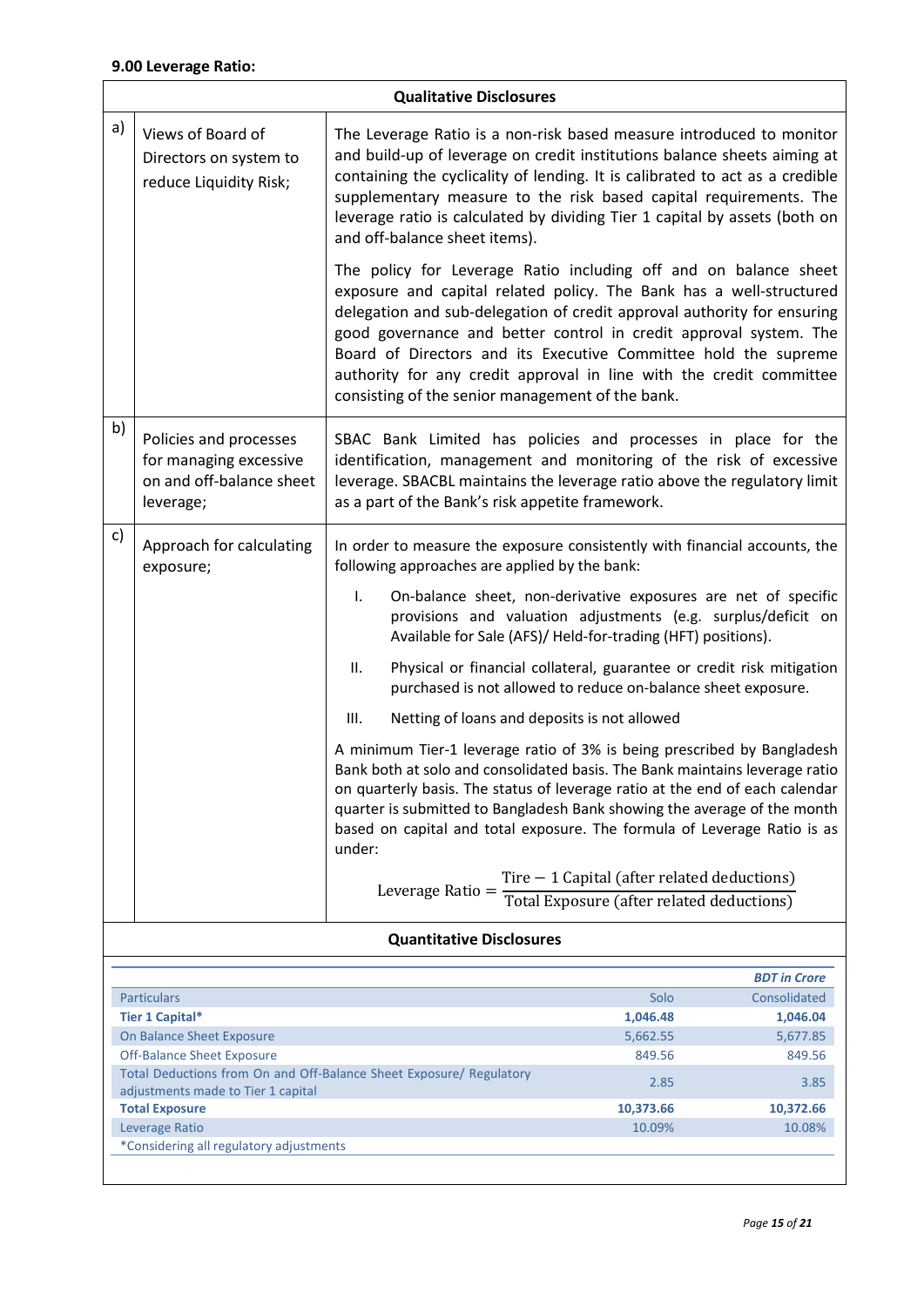## **9.00 Leverage Ratio:**

 $\overline{\phantom{a}}$ 

| <b>Qualitative Disclosures</b> |                                                                                                                           |                                                                                                                                                                                                                                                                                                                                                                                                                                                                                       |                                                                                           |              |
|--------------------------------|---------------------------------------------------------------------------------------------------------------------------|---------------------------------------------------------------------------------------------------------------------------------------------------------------------------------------------------------------------------------------------------------------------------------------------------------------------------------------------------------------------------------------------------------------------------------------------------------------------------------------|-------------------------------------------------------------------------------------------|--------------|
| a)                             | Views of Board of<br>Directors on system to<br>reduce Liquidity Risk;                                                     | The Leverage Ratio is a non-risk based measure introduced to monitor<br>and build-up of leverage on credit institutions balance sheets aiming at<br>containing the cyclicality of lending. It is calibrated to act as a credible<br>supplementary measure to the risk based capital requirements. The<br>leverage ratio is calculated by dividing Tier 1 capital by assets (both on<br>and off-balance sheet items).                                                                  |                                                                                           |              |
|                                |                                                                                                                           | The policy for Leverage Ratio including off and on balance sheet<br>exposure and capital related policy. The Bank has a well-structured<br>delegation and sub-delegation of credit approval authority for ensuring<br>good governance and better control in credit approval system. The<br>Board of Directors and its Executive Committee hold the supreme<br>authority for any credit approval in line with the credit committee<br>consisting of the senior management of the bank. |                                                                                           |              |
| b)                             | Policies and processes<br>for managing excessive<br>on and off-balance sheet<br>leverage;                                 | SBAC Bank Limited has policies and processes in place for the<br>identification, management and monitoring of the risk of excessive<br>leverage. SBACBL maintains the leverage ratio above the regulatory limit<br>as a part of the Bank's risk appetite framework.                                                                                                                                                                                                                   |                                                                                           |              |
| c)                             | Approach for calculating<br>exposure;                                                                                     | In order to measure the exposure consistently with financial accounts, the<br>following approaches are applied by the bank:                                                                                                                                                                                                                                                                                                                                                           |                                                                                           |              |
|                                |                                                                                                                           | On-balance sheet, non-derivative exposures are net of specific<br>$\mathsf{L}$<br>provisions and valuation adjustments (e.g. surplus/deficit on<br>Available for Sale (AFS)/ Held-for-trading (HFT) positions).                                                                                                                                                                                                                                                                       |                                                                                           |              |
|                                |                                                                                                                           | Physical or financial collateral, guarantee or credit risk mitigation<br>П.<br>purchased is not allowed to reduce on-balance sheet exposure.                                                                                                                                                                                                                                                                                                                                          |                                                                                           |              |
|                                |                                                                                                                           | Netting of loans and deposits is not allowed<br>III.                                                                                                                                                                                                                                                                                                                                                                                                                                  |                                                                                           |              |
|                                |                                                                                                                           | A minimum Tier-1 leverage ratio of 3% is being prescribed by Bangladesh<br>Bank both at solo and consolidated basis. The Bank maintains leverage ratio<br>on quarterly basis. The status of leverage ratio at the end of each calendar<br>quarter is submitted to Bangladesh Bank showing the average of the month<br>based on capital and total exposure. The formula of Leverage Ratio is as<br>under:                                                                              |                                                                                           |              |
|                                |                                                                                                                           | Leverage Ratio $=$                                                                                                                                                                                                                                                                                                                                                                                                                                                                    | Tire $-1$ Capital (after related deductions)<br>Total Exposure (after related deductions) |              |
|                                |                                                                                                                           | <b>Quantitative Disclosures</b>                                                                                                                                                                                                                                                                                                                                                                                                                                                       |                                                                                           |              |
| <b>BDT</b> in Crore            |                                                                                                                           |                                                                                                                                                                                                                                                                                                                                                                                                                                                                                       |                                                                                           |              |
|                                | <b>Particulars</b>                                                                                                        |                                                                                                                                                                                                                                                                                                                                                                                                                                                                                       | Solo                                                                                      | Consolidated |
|                                | <b>Tier 1 Capital*</b>                                                                                                    |                                                                                                                                                                                                                                                                                                                                                                                                                                                                                       | 1,046.48                                                                                  | 1,046.04     |
|                                | On Balance Sheet Exposure                                                                                                 |                                                                                                                                                                                                                                                                                                                                                                                                                                                                                       | 5,662.55                                                                                  | 5,677.85     |
|                                | <b>Off-Balance Sheet Exposure</b><br>849.56<br>849.56                                                                     |                                                                                                                                                                                                                                                                                                                                                                                                                                                                                       |                                                                                           |              |
|                                | Total Deductions from On and Off-Balance Sheet Exposure/ Regulatory<br>2.85<br>3.85<br>adjustments made to Tier 1 capital |                                                                                                                                                                                                                                                                                                                                                                                                                                                                                       |                                                                                           |              |
|                                | <b>Total Exposure</b><br>10,373.66<br>10,372.66                                                                           |                                                                                                                                                                                                                                                                                                                                                                                                                                                                                       |                                                                                           |              |
|                                | Leverage Ratio                                                                                                            |                                                                                                                                                                                                                                                                                                                                                                                                                                                                                       | 10.09%                                                                                    | 10.08%       |
|                                | *Considering all regulatory adjustments                                                                                   |                                                                                                                                                                                                                                                                                                                                                                                                                                                                                       |                                                                                           |              |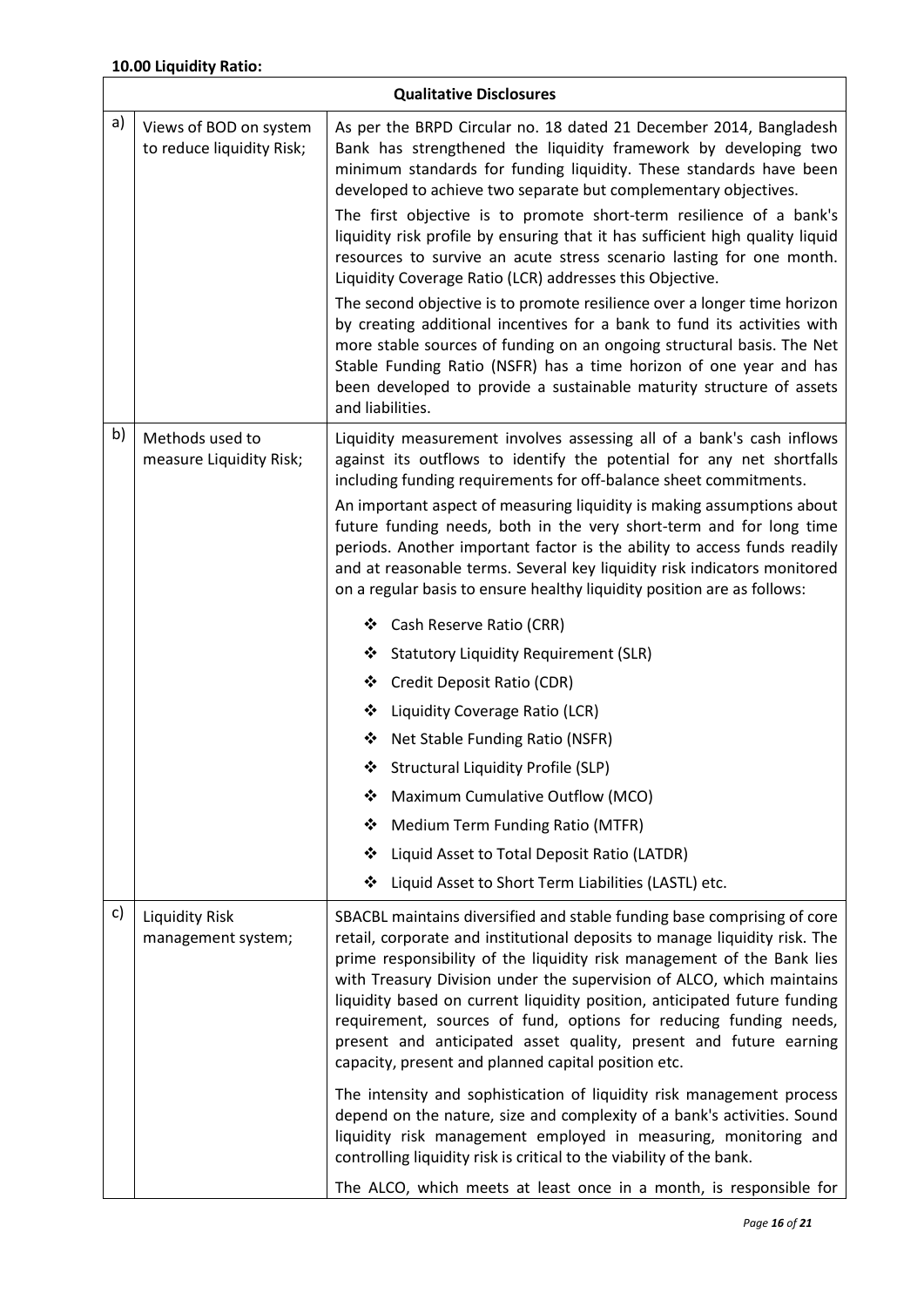|    | <b>Qualitative Disclosures</b>                      |                                                                                                                                                                                                                                                                                                                                                                                                                                                                                                                                                                                                                                                                                                                                    |  |  |
|----|-----------------------------------------------------|------------------------------------------------------------------------------------------------------------------------------------------------------------------------------------------------------------------------------------------------------------------------------------------------------------------------------------------------------------------------------------------------------------------------------------------------------------------------------------------------------------------------------------------------------------------------------------------------------------------------------------------------------------------------------------------------------------------------------------|--|--|
| a) | Views of BOD on system<br>to reduce liquidity Risk; | As per the BRPD Circular no. 18 dated 21 December 2014, Bangladesh<br>Bank has strengthened the liquidity framework by developing two<br>minimum standards for funding liquidity. These standards have been<br>developed to achieve two separate but complementary objectives.<br>The first objective is to promote short-term resilience of a bank's<br>liquidity risk profile by ensuring that it has sufficient high quality liquid<br>resources to survive an acute stress scenario lasting for one month.<br>Liquidity Coverage Ratio (LCR) addresses this Objective.<br>The second objective is to promote resilience over a longer time horizon<br>by creating additional incentives for a bank to fund its activities with |  |  |
|    |                                                     | more stable sources of funding on an ongoing structural basis. The Net<br>Stable Funding Ratio (NSFR) has a time horizon of one year and has<br>been developed to provide a sustainable maturity structure of assets<br>and liabilities.                                                                                                                                                                                                                                                                                                                                                                                                                                                                                           |  |  |
| b) | Methods used to<br>measure Liquidity Risk;          | Liquidity measurement involves assessing all of a bank's cash inflows<br>against its outflows to identify the potential for any net shortfalls<br>including funding requirements for off-balance sheet commitments.<br>An important aspect of measuring liquidity is making assumptions about<br>future funding needs, both in the very short-term and for long time<br>periods. Another important factor is the ability to access funds readily<br>and at reasonable terms. Several key liquidity risk indicators monitored<br>on a regular basis to ensure healthy liquidity position are as follows:                                                                                                                            |  |  |
|    |                                                     | Cash Reserve Ratio (CRR)<br>❖                                                                                                                                                                                                                                                                                                                                                                                                                                                                                                                                                                                                                                                                                                      |  |  |
|    |                                                     | <b>Statutory Liquidity Requirement (SLR)</b><br>❖                                                                                                                                                                                                                                                                                                                                                                                                                                                                                                                                                                                                                                                                                  |  |  |
|    |                                                     | Credit Deposit Ratio (CDR)<br>❖                                                                                                                                                                                                                                                                                                                                                                                                                                                                                                                                                                                                                                                                                                    |  |  |
|    |                                                     | Liquidity Coverage Ratio (LCR)<br>❖                                                                                                                                                                                                                                                                                                                                                                                                                                                                                                                                                                                                                                                                                                |  |  |
|    |                                                     | Net Stable Funding Ratio (NSFR)<br>❖                                                                                                                                                                                                                                                                                                                                                                                                                                                                                                                                                                                                                                                                                               |  |  |
|    |                                                     | ❖ Structural Liquidity Profile (SLP)                                                                                                                                                                                                                                                                                                                                                                                                                                                                                                                                                                                                                                                                                               |  |  |
|    |                                                     | Maximum Cumulative Outflow (MCO)<br>❖                                                                                                                                                                                                                                                                                                                                                                                                                                                                                                                                                                                                                                                                                              |  |  |
|    |                                                     | Medium Term Funding Ratio (MTFR)<br>❖                                                                                                                                                                                                                                                                                                                                                                                                                                                                                                                                                                                                                                                                                              |  |  |
|    |                                                     | Liquid Asset to Total Deposit Ratio (LATDR)<br>❖                                                                                                                                                                                                                                                                                                                                                                                                                                                                                                                                                                                                                                                                                   |  |  |
|    |                                                     | ❖<br>Liquid Asset to Short Term Liabilities (LASTL) etc.                                                                                                                                                                                                                                                                                                                                                                                                                                                                                                                                                                                                                                                                           |  |  |
| c) | <b>Liquidity Risk</b><br>management system;         | SBACBL maintains diversified and stable funding base comprising of core<br>retail, corporate and institutional deposits to manage liquidity risk. The<br>prime responsibility of the liquidity risk management of the Bank lies<br>with Treasury Division under the supervision of ALCO, which maintains<br>liquidity based on current liquidity position, anticipated future funding<br>requirement, sources of fund, options for reducing funding needs,<br>present and anticipated asset quality, present and future earning<br>capacity, present and planned capital position etc.                                                                                                                                             |  |  |
|    |                                                     | The intensity and sophistication of liquidity risk management process<br>depend on the nature, size and complexity of a bank's activities. Sound<br>liquidity risk management employed in measuring, monitoring and<br>controlling liquidity risk is critical to the viability of the bank.                                                                                                                                                                                                                                                                                                                                                                                                                                        |  |  |
|    |                                                     | The ALCO, which meets at least once in a month, is responsible for                                                                                                                                                                                                                                                                                                                                                                                                                                                                                                                                                                                                                                                                 |  |  |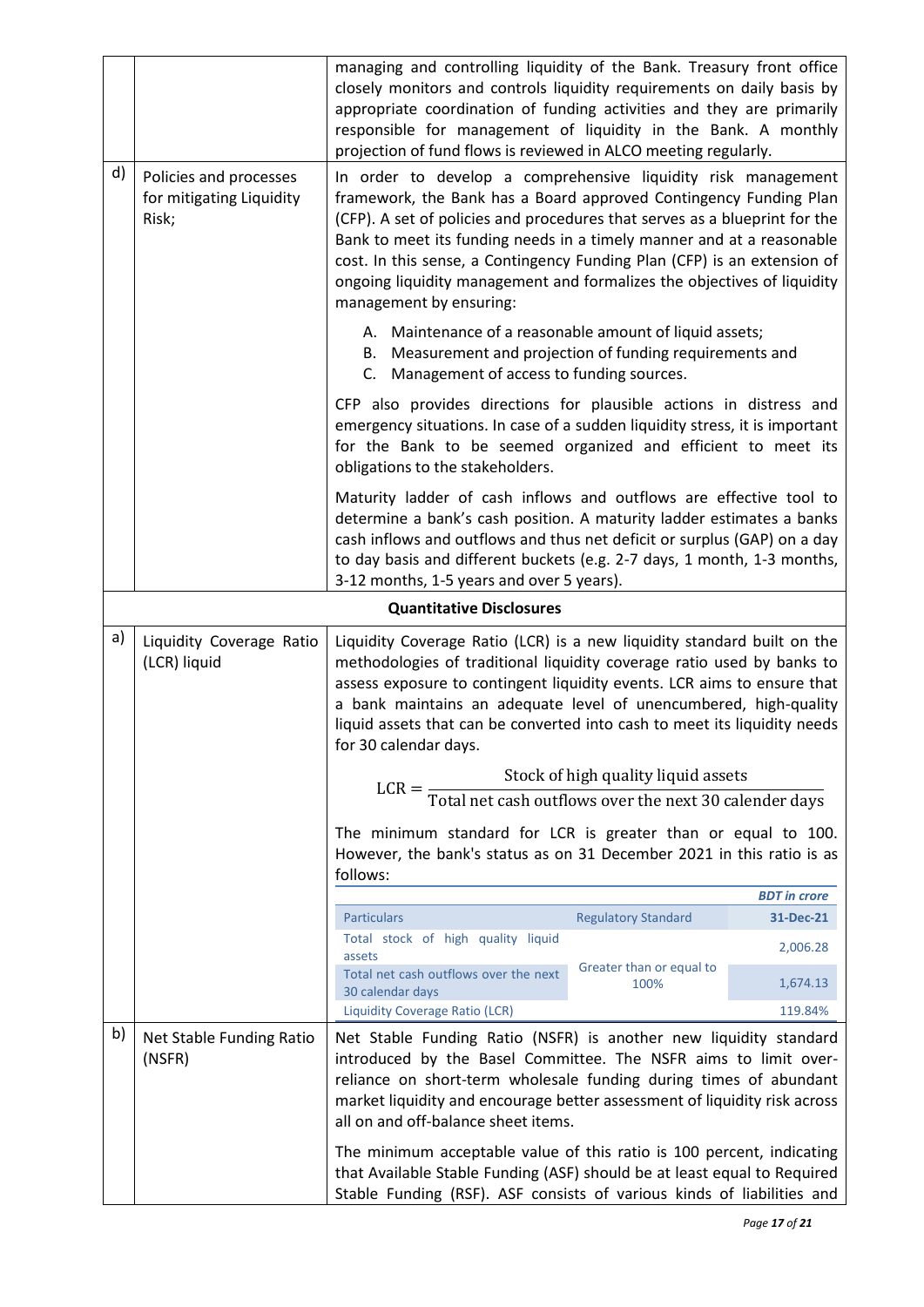|    |                                                             | managing and controlling liquidity of the Bank. Treasury front office<br>closely monitors and controls liquidity requirements on daily basis by<br>appropriate coordination of funding activities and they are primarily<br>responsible for management of liquidity in the Bank. A monthly<br>projection of fund flows is reviewed in ALCO meeting regularly.                                                                                                               |  |  |
|----|-------------------------------------------------------------|-----------------------------------------------------------------------------------------------------------------------------------------------------------------------------------------------------------------------------------------------------------------------------------------------------------------------------------------------------------------------------------------------------------------------------------------------------------------------------|--|--|
| d) | Policies and processes<br>for mitigating Liquidity<br>Risk; | In order to develop a comprehensive liquidity risk management<br>framework, the Bank has a Board approved Contingency Funding Plan<br>(CFP). A set of policies and procedures that serves as a blueprint for the<br>Bank to meet its funding needs in a timely manner and at a reasonable<br>cost. In this sense, a Contingency Funding Plan (CFP) is an extension of<br>ongoing liquidity management and formalizes the objectives of liquidity<br>management by ensuring: |  |  |
|    |                                                             | A. Maintenance of a reasonable amount of liquid assets;<br>B. Measurement and projection of funding requirements and<br>C. Management of access to funding sources.                                                                                                                                                                                                                                                                                                         |  |  |
|    |                                                             | CFP also provides directions for plausible actions in distress and<br>emergency situations. In case of a sudden liquidity stress, it is important<br>for the Bank to be seemed organized and efficient to meet its<br>obligations to the stakeholders.                                                                                                                                                                                                                      |  |  |
|    |                                                             | Maturity ladder of cash inflows and outflows are effective tool to<br>determine a bank's cash position. A maturity ladder estimates a banks<br>cash inflows and outflows and thus net deficit or surplus (GAP) on a day<br>to day basis and different buckets (e.g. 2-7 days, 1 month, 1-3 months,<br>3-12 months, 1-5 years and over 5 years).                                                                                                                             |  |  |
|    |                                                             | <b>Quantitative Disclosures</b>                                                                                                                                                                                                                                                                                                                                                                                                                                             |  |  |
| a) | Liquidity Coverage Ratio<br>(LCR) liquid                    | Liquidity Coverage Ratio (LCR) is a new liquidity standard built on the<br>methodologies of traditional liquidity coverage ratio used by banks to<br>assess exposure to contingent liquidity events. LCR aims to ensure that<br>a bank maintains an adequate level of unencumbered, high-quality<br>liquid assets that can be converted into cash to meet its liquidity needs<br>for 30 calendar days.                                                                      |  |  |
|    |                                                             | Stock of high quality liquid assets<br>$LCR = \frac{300 \text{ m}}{Total net cash outflows over the next 30 calendar days}$                                                                                                                                                                                                                                                                                                                                                 |  |  |
|    |                                                             |                                                                                                                                                                                                                                                                                                                                                                                                                                                                             |  |  |
|    |                                                             | The minimum standard for LCR is greater than or equal to 100.<br>However, the bank's status as on 31 December 2021 in this ratio is as<br>follows:                                                                                                                                                                                                                                                                                                                          |  |  |
|    |                                                             | <b>BDT</b> in crore                                                                                                                                                                                                                                                                                                                                                                                                                                                         |  |  |
|    |                                                             | <b>Particulars</b><br><b>Regulatory Standard</b><br>31-Dec-21                                                                                                                                                                                                                                                                                                                                                                                                               |  |  |
|    |                                                             | Total stock of high quality liquid<br>2,006.28<br>assets                                                                                                                                                                                                                                                                                                                                                                                                                    |  |  |
|    |                                                             | Greater than or equal to<br>Total net cash outflows over the next<br>1,674.13<br>100%<br>30 calendar days                                                                                                                                                                                                                                                                                                                                                                   |  |  |
|    |                                                             | <b>Liquidity Coverage Ratio (LCR)</b><br>119.84%                                                                                                                                                                                                                                                                                                                                                                                                                            |  |  |
| b) | Net Stable Funding Ratio<br>(NSFR)                          | Net Stable Funding Ratio (NSFR) is another new liquidity standard<br>introduced by the Basel Committee. The NSFR aims to limit over-<br>reliance on short-term wholesale funding during times of abundant<br>market liquidity and encourage better assessment of liquidity risk across<br>all on and off-balance sheet items.                                                                                                                                               |  |  |
|    |                                                             | The minimum acceptable value of this ratio is 100 percent, indicating<br>that Available Stable Funding (ASF) should be at least equal to Required<br>Stable Funding (RSF). ASF consists of various kinds of liabilities and                                                                                                                                                                                                                                                 |  |  |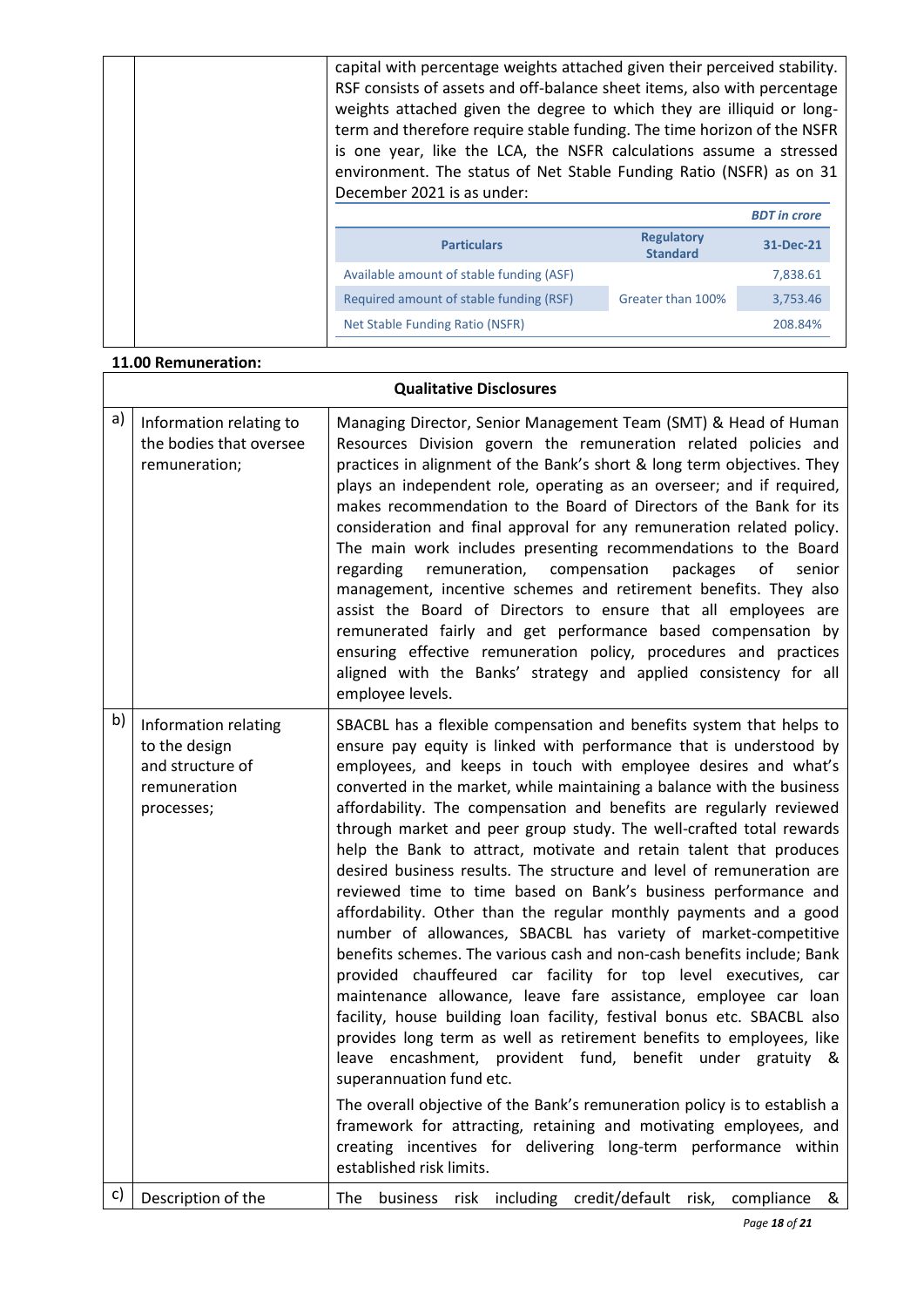| capital with percentage weights attached given their perceived stability.<br>RSF consists of assets and off-balance sheet items, also with percentage<br>weights attached given the degree to which they are illiquid or long-<br>term and therefore require stable funding. The time horizon of the NSFR<br>is one year, like the LCA, the NSFR calculations assume a stressed<br>environment. The status of Net Stable Funding Ratio (NSFR) as on 31<br>December 2021 is as under: |                                      |           |
|--------------------------------------------------------------------------------------------------------------------------------------------------------------------------------------------------------------------------------------------------------------------------------------------------------------------------------------------------------------------------------------------------------------------------------------------------------------------------------------|--------------------------------------|-----------|
| <b>BDT</b> in crore                                                                                                                                                                                                                                                                                                                                                                                                                                                                  |                                      |           |
| <b>Particulars</b>                                                                                                                                                                                                                                                                                                                                                                                                                                                                   | <b>Regulatory</b><br><b>Standard</b> | 31-Dec-21 |
| Available amount of stable funding (ASF)                                                                                                                                                                                                                                                                                                                                                                                                                                             |                                      | 7,838.61  |
| Required amount of stable funding (RSF)                                                                                                                                                                                                                                                                                                                                                                                                                                              | Greater than 100%                    | 3,753.46  |
| Net Stable Funding Ratio (NSFR)                                                                                                                                                                                                                                                                                                                                                                                                                                                      |                                      | 208.84%   |
|                                                                                                                                                                                                                                                                                                                                                                                                                                                                                      |                                      |           |

#### **11.00 Remuneration:**

#### **Qualitative Disclosures** a) Information relating to the bodies that oversee remuneration; Managing Director, Senior Management Team (SMT) & Head of Human Resources Division govern the remuneration related policies and practices in alignment of the Bank's short & long term objectives. They plays an independent role, operating as an overseer; and if required, makes recommendation to the Board of Directors of the Bank for its consideration and final approval for any remuneration related policy. The main work includes presenting recommendations to the Board regarding remuneration, compensation packages of senior management, incentive schemes and retirement benefits. They also assist the Board of Directors to ensure that all employees are remunerated fairly and get performance based compensation by ensuring effective remuneration policy, procedures and practices aligned with the Banks' strategy and applied consistency for all employee levels.  $\mathsf{b}$ ) | Information relating to the design and structure of remuneration processes; SBACBL has a flexible compensation and benefits system that helps to ensure pay equity is linked with performance that is understood by employees, and keeps in touch with employee desires and what's converted in the market, while maintaining a balance with the business affordability. The compensation and benefits are regularly reviewed through market and peer group study. The well-crafted total rewards help the Bank to attract, motivate and retain talent that produces desired business results. The structure and level of remuneration are reviewed time to time based on Bank's business performance and affordability. Other than the regular monthly payments and a good number of allowances, SBACBL has variety of market-competitive benefits schemes. The various cash and non-cash benefits include; Bank provided chauffeured car facility for top level executives, car maintenance allowance, leave fare assistance, employee car loan facility, house building loan facility, festival bonus etc. SBACBL also provides long term as well as retirement benefits to employees, like leave encashment, provident fund, benefit under gratuity & superannuation fund etc. The overall objective of the Bank's remuneration policy is to establish a framework for attracting, retaining and motivating employees, and creating incentives for delivering long-term performance within established risk limits. c) Description of the  $\vert$  The business risk including credit/default risk, compliance &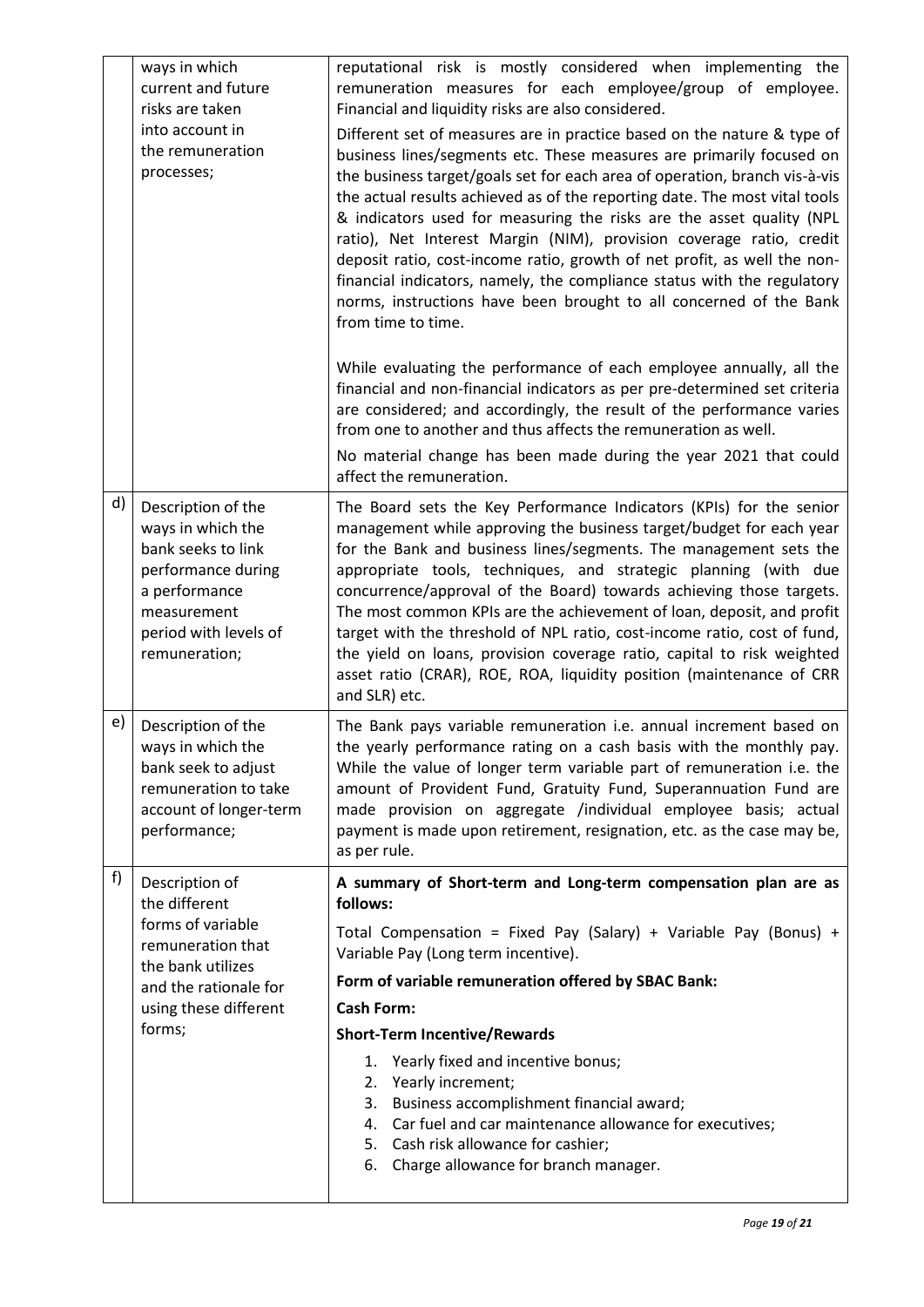|    | ways in which<br>current and future<br>risks are taken<br>into account in<br>the remuneration<br>processes;                                                   | reputational risk is mostly considered when implementing the<br>remuneration measures for each employee/group of employee.<br>Financial and liquidity risks are also considered.<br>Different set of measures are in practice based on the nature & type of<br>business lines/segments etc. These measures are primarily focused on<br>the business target/goals set for each area of operation, branch vis-à-vis<br>the actual results achieved as of the reporting date. The most vital tools<br>& indicators used for measuring the risks are the asset quality (NPL<br>ratio), Net Interest Margin (NIM), provision coverage ratio, credit<br>deposit ratio, cost-income ratio, growth of net profit, as well the non-<br>financial indicators, namely, the compliance status with the regulatory<br>norms, instructions have been brought to all concerned of the Bank<br>from time to time.<br>While evaluating the performance of each employee annually, all the<br>financial and non-financial indicators as per pre-determined set criteria<br>are considered; and accordingly, the result of the performance varies<br>from one to another and thus affects the remuneration as well.<br>No material change has been made during the year 2021 that could<br>affect the remuneration. |
|----|---------------------------------------------------------------------------------------------------------------------------------------------------------------|--------------------------------------------------------------------------------------------------------------------------------------------------------------------------------------------------------------------------------------------------------------------------------------------------------------------------------------------------------------------------------------------------------------------------------------------------------------------------------------------------------------------------------------------------------------------------------------------------------------------------------------------------------------------------------------------------------------------------------------------------------------------------------------------------------------------------------------------------------------------------------------------------------------------------------------------------------------------------------------------------------------------------------------------------------------------------------------------------------------------------------------------------------------------------------------------------------------------------------------------------------------------------------------------------|
| d) | Description of the<br>ways in which the<br>bank seeks to link<br>performance during<br>a performance<br>measurement<br>period with levels of<br>remuneration; | The Board sets the Key Performance Indicators (KPIs) for the senior<br>management while approving the business target/budget for each year<br>for the Bank and business lines/segments. The management sets the<br>appropriate tools, techniques, and strategic planning (with due<br>concurrence/approval of the Board) towards achieving those targets.<br>The most common KPIs are the achievement of loan, deposit, and profit<br>target with the threshold of NPL ratio, cost-income ratio, cost of fund,<br>the yield on loans, provision coverage ratio, capital to risk weighted<br>asset ratio (CRAR), ROE, ROA, liquidity position (maintenance of CRR<br>and SLR) etc.                                                                                                                                                                                                                                                                                                                                                                                                                                                                                                                                                                                                                |
| e) | Description of the<br>ways in which the<br>bank seek to adjust<br>remuneration to take<br>account of longer-term<br>performance;                              | The Bank pays variable remuneration i.e. annual increment based on<br>the yearly performance rating on a cash basis with the monthly pay.<br>While the value of longer term variable part of remuneration i.e. the<br>amount of Provident Fund, Gratuity Fund, Superannuation Fund are<br>made provision on aggregate /individual employee basis; actual<br>payment is made upon retirement, resignation, etc. as the case may be,<br>as per rule.                                                                                                                                                                                                                                                                                                                                                                                                                                                                                                                                                                                                                                                                                                                                                                                                                                               |
| f) | Description of<br>the different<br>forms of variable<br>remuneration that<br>the bank utilizes<br>and the rationale for<br>using these different<br>forms;    | A summary of Short-term and Long-term compensation plan are as<br>follows:<br>Total Compensation = Fixed Pay (Salary) + Variable Pay (Bonus) +<br>Variable Pay (Long term incentive).<br>Form of variable remuneration offered by SBAC Bank:<br><b>Cash Form:</b><br><b>Short-Term Incentive/Rewards</b><br>Yearly fixed and incentive bonus;<br>1.<br>Yearly increment;<br>2.<br>Business accomplishment financial award;<br>3.<br>Car fuel and car maintenance allowance for executives;<br>4.<br>5. Cash risk allowance for cashier;<br>6. Charge allowance for branch manager.                                                                                                                                                                                                                                                                                                                                                                                                                                                                                                                                                                                                                                                                                                               |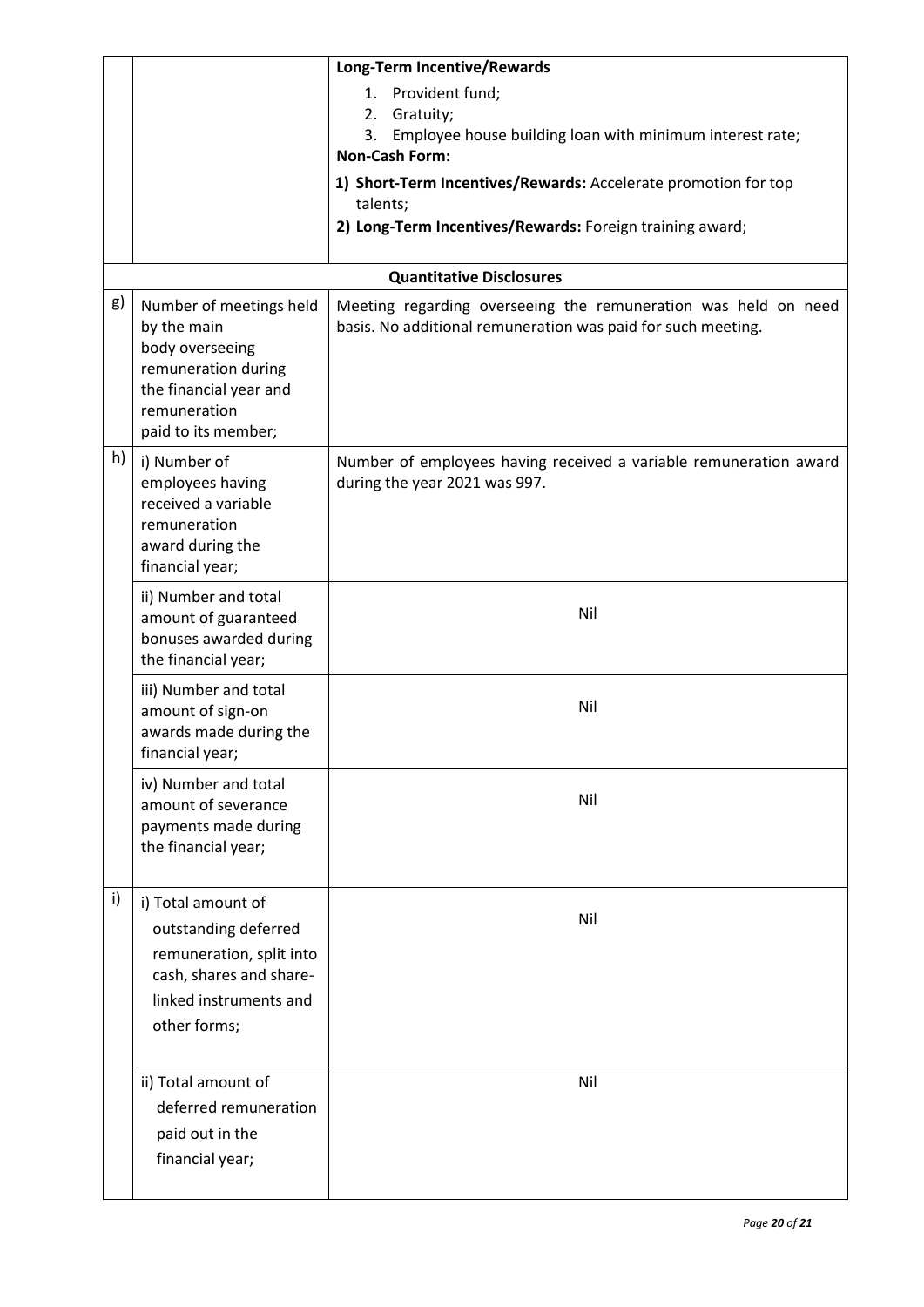|    |                                                                                                                                                   | Long-Term Incentive/Rewards                                                                                                    |
|----|---------------------------------------------------------------------------------------------------------------------------------------------------|--------------------------------------------------------------------------------------------------------------------------------|
|    |                                                                                                                                                   | 1. Provident fund;<br>Gratuity;<br>2.                                                                                          |
|    |                                                                                                                                                   | Employee house building loan with minimum interest rate;<br>3.<br><b>Non-Cash Form:</b>                                        |
|    |                                                                                                                                                   | 1) Short-Term Incentives/Rewards: Accelerate promotion for top<br>talents;                                                     |
|    |                                                                                                                                                   | 2) Long-Term Incentives/Rewards: Foreign training award;                                                                       |
|    |                                                                                                                                                   | <b>Quantitative Disclosures</b>                                                                                                |
| g) | Number of meetings held<br>by the main<br>body overseeing<br>remuneration during<br>the financial year and<br>remuneration<br>paid to its member; | Meeting regarding overseeing the remuneration was held on need<br>basis. No additional remuneration was paid for such meeting. |
| h) | i) Number of<br>employees having<br>received a variable<br>remuneration<br>award during the<br>financial year;                                    | Number of employees having received a variable remuneration award<br>during the year 2021 was 997.                             |
|    | ii) Number and total<br>amount of guaranteed<br>bonuses awarded during<br>the financial year;                                                     | Nil                                                                                                                            |
|    | iii) Number and total<br>amount of sign-on<br>awards made during the<br>financial year;                                                           | Nil                                                                                                                            |
|    | iv) Number and total<br>amount of severance<br>payments made during<br>the financial year;                                                        | Nil                                                                                                                            |
| i) | i) Total amount of<br>outstanding deferred<br>remuneration, split into<br>cash, shares and share-<br>linked instruments and<br>other forms;       | Nil                                                                                                                            |
|    | ii) Total amount of<br>deferred remuneration<br>paid out in the<br>financial year;                                                                | Nil                                                                                                                            |